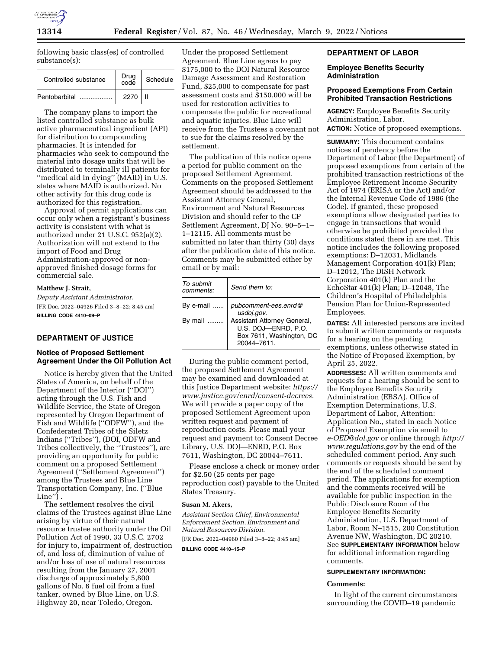

following basic class(es) of controlled substance(s):

| Controlled substance | Drug<br>code | Schedule |
|----------------------|--------------|----------|
| Pentobarbital        | 2270         |          |

The company plans to import the listed controlled substance as bulk active pharmaceutical ingredient (API) for distribution to compounding pharmacies. It is intended for pharmacies who seek to compound the material into dosage units that will be distributed to terminally ill patients for ''medical aid in dying'' (MAID) in U.S. states where MAID is authorized. No other activity for this drug code is authorized for this registration.

Approval of permit applications can occur only when a registrant's business activity is consistent with what is authorized under 21 U.S.C. 952(a)(2). Authorization will not extend to the import of Food and Drug Administration-approved or nonapproved finished dosage forms for commercial sale.

#### **Matthew J. Strait,**

*Deputy Assistant Administrator.*  [FR Doc. 2022–04926 Filed 3–8–22; 8:45 am] **BILLING CODE 4410–09–P** 

# **DEPARTMENT OF JUSTICE**

# **Notice of Proposed Settlement Agreement Under the Oil Pollution Act**

Notice is hereby given that the United States of America, on behalf of the Department of the Interior (''DOI'') acting through the U.S. Fish and Wildlife Service, the State of Oregon represented by Oregon Department of Fish and Wildlife (''ODFW''), and the Confederated Tribes of the Siletz Indians (''Tribes''), (DOI, ODFW and Tribes collectively, the ''Trustees''), are providing an opportunity for public comment on a proposed Settlement Agreement (''Settlement Agreement'') among the Trustees and Blue Line Transportation Company, Inc. (''Blue Line'') .

The settlement resolves the civil claims of the Trustees against Blue Line arising by virtue of their natural resource trustee authority under the Oil Pollution Act of 1990, 33 U.S.C. 2702 for injury to, impairment of, destruction of, and loss of, diminution of value of and/or loss of use of natural resources resulting from the January 27, 2001 discharge of approximately 5,800 gallons of No. 6 fuel oil from a fuel tanker, owned by Blue Line, on U.S. Highway 20, near Toledo, Oregon.

Under the proposed Settlement Agreement, Blue Line agrees to pay \$175,000 to the DOI Natural Resource Damage Assessment and Restoration Fund, \$25,000 to compensate for past assessment costs and \$150,000 will be used for restoration activities to compensate the public for recreational and aquatic injuries. Blue Line will receive from the Trustees a covenant not to sue for the claims resolved by the settlement.

The publication of this notice opens a period for public comment on the proposed Settlement Agreement. Comments on the proposed Settlement Agreement should be addressed to the Assistant Attorney General, Environment and Natural Resources Division and should refer to the CP Settlement Agreement, DJ No. 90–5–1– 1–12115. All comments must be submitted no later than thirty (30) days after the publication date of this notice. Comments may be submitted either by email or by mail:

| To submit<br>comments: | Send them to:                                                                                |
|------------------------|----------------------------------------------------------------------------------------------|
| By e-mail              | pubcomment-ees.enrd@<br>usdoj.gov.                                                           |
| By mail                | Assistant Attorney General,<br>U.S. DOJ-ENRD, P.O.<br>Box 7611, Washington, DC<br>20044-7611 |

During the public comment period, the proposed Settlement Agreement may be examined and downloaded at this Justice Department website: *[https://](https://www.justice.gov/enrd/consent-decrees)  [www.justice.gov/enrd/consent-decrees.](https://www.justice.gov/enrd/consent-decrees)*  We will provide a paper copy of the proposed Settlement Agreement upon written request and payment of reproduction costs. Please mail your request and payment to: Consent Decree Library, U.S. DOJ—ENRD, P.O. Box 7611, Washington, DC 20044–7611.

Please enclose a check or money order for \$2.50 (25 cents per page reproduction cost) payable to the United States Treasury.

#### **Susan M. Akers,**

*Assistant Section Chief, Environmental Enforcement Section, Environment and Natural Resources Division.* 

[FR Doc. 2022–04960 Filed 3–8–22; 8:45 am] **BILLING CODE 4410–15–P** 

# **DEPARTMENT OF LABOR**

# **Employee Benefits Security Administration**

## **Proposed Exemptions From Certain Prohibited Transaction Restrictions**

**AGENCY:** Employee Benefits Security Administration, Labor. **ACTION:** Notice of proposed exemptions.

**SUMMARY:** This document contains notices of pendency before the Department of Labor (the Department) of proposed exemptions from certain of the prohibited transaction restrictions of the Employee Retirement Income Security Act of 1974 (ERISA or the Act) and/or the Internal Revenue Code of 1986 (the Code). If granted, these proposed exemptions allow designated parties to engage in transactions that would otherwise be prohibited provided the conditions stated there in are met. This notice includes the following proposed exemptions: D–12031, Midlands Management Corporation 401(k) Plan; D–12012, The DISH Network Corporation 401(k) Plan and the EchoStar 401(k) Plan; D–12048, The Children's Hospital of Philadelphia Pension Plan for Union-Represented Employees.

**DATES:** All interested persons are invited to submit written comments or requests for a hearing on the pending exemptions, unless otherwise stated in the Notice of Proposed Exemption, by April 25, 2022.

**ADDRESSES:** All written comments and requests for a hearing should be sent to the Employee Benefits Security Administration (EBSA), Office of Exemption Determinations, U.S. Department of Labor, Attention: Application No., stated in each Notice of Proposed Exemption via email to *[e-OED@dol.gov](mailto:e-OED@dol.gov)* or online through *[http://](http://www.regulations.gov) [www.regulations.gov](http://www.regulations.gov)* by the end of the scheduled comment period. Any such comments or requests should be sent by the end of the scheduled comment period. The applications for exemption and the comments received will be available for public inspection in the Public Disclosure Room of the Employee Benefits Security Administration, U.S. Department of Labor, Room N–1515, 200 Constitution Avenue NW, Washington, DC 20210. See **SUPPLEMENTARY INFORMATION** below for additional information regarding comments.

#### **SUPPLEMENTARY INFORMATION:**

#### **Comments:**

In light of the current circumstances surrounding the COVID–19 pandemic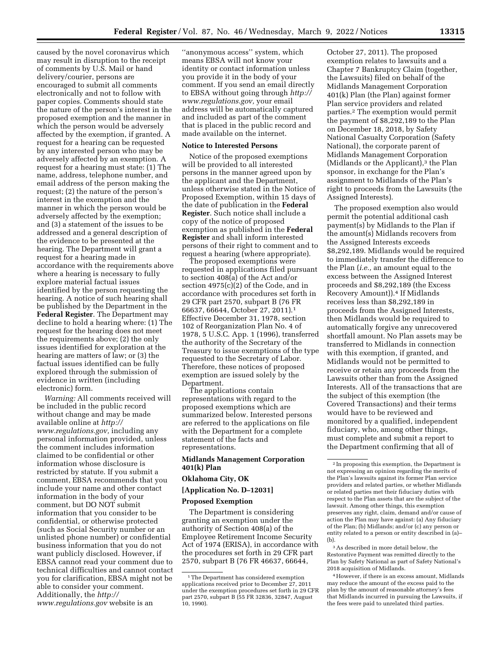caused by the novel coronavirus which may result in disruption to the receipt of comments by U.S. Mail or hand delivery/courier, persons are encouraged to submit all comments electronically and not to follow with paper copies. Comments should state the nature of the person's interest in the proposed exemption and the manner in which the person would be adversely affected by the exemption, if granted. A request for a hearing can be requested by any interested person who may be adversely affected by an exemption. A request for a hearing must state: (1) The name, address, telephone number, and email address of the person making the request; (2) the nature of the person's interest in the exemption and the manner in which the person would be adversely affected by the exemption; and (3) a statement of the issues to be addressed and a general description of the evidence to be presented at the hearing. The Department will grant a request for a hearing made in accordance with the requirements above where a hearing is necessary to fully explore material factual issues identified by the person requesting the hearing. A notice of such hearing shall be published by the Department in the **Federal Register**. The Department may decline to hold a hearing where: (1) The request for the hearing does not meet the requirements above; (2) the only issues identified for exploration at the hearing are matters of law; or (3) the factual issues identified can be fully explored through the submission of evidence in written (including electronic) form.

*Warning:* All comments received will be included in the public record without change and may be made available online at *[http://](http://www.regulations.gov) [www.regulations.gov,](http://www.regulations.gov)* including any personal information provided, unless the comment includes information claimed to be confidential or other information whose disclosure is restricted by statute. If you submit a comment, EBSA recommends that you include your name and other contact information in the body of your comment, but DO NOT submit information that you consider to be confidential, or otherwise protected (such as Social Security number or an unlisted phone number) or confidential business information that you do not want publicly disclosed. However, if EBSA cannot read your comment due to technical difficulties and cannot contact you for clarification, EBSA might not be able to consider your comment. Additionally, the *[http://](http://www.regulations.gov) [www.regulations.gov](http://www.regulations.gov)* website is an

''anonymous access'' system, which means EBSA will not know your identity or contact information unless you provide it in the body of your comment. If you send an email directly to EBSA without going through *[http://](http://www.regulations.gov) [www.regulations.gov,](http://www.regulations.gov)* your email address will be automatically captured and included as part of the comment that is placed in the public record and made available on the internet.

### **Notice to Interested Persons**

Notice of the proposed exemptions will be provided to all interested persons in the manner agreed upon by the applicant and the Department, unless otherwise stated in the Notice of Proposed Exemption, within 15 days of the date of publication in the **Federal Register**. Such notice shall include a copy of the notice of proposed exemption as published in the **Federal Register** and shall inform interested persons of their right to comment and to request a hearing (where appropriate).

The proposed exemptions were requested in applications filed pursuant to section 408(a) of the Act and/or section 4975(c)(2) of the Code, and in accordance with procedures set forth in 29 CFR part 2570, subpart B (76 FR 66637, 66644, October 27, 2011).1 Effective December 31, 1978, section 102 of Reorganization Plan No. 4 of 1978, 5 U.S.C. App. 1 (1996), transferred the authority of the Secretary of the Treasury to issue exemptions of the type requested to the Secretary of Labor. Therefore, these notices of proposed exemption are issued solely by the Department.

The applications contain representations with regard to the proposed exemptions which are summarized below. Interested persons are referred to the applications on file with the Department for a complete statement of the facts and representations.

## **Midlands Management Corporation 401(k) Plan**

### **Oklahoma City, OK**

### **[Application No. D–12031]**

### **Proposed Exemption**

The Department is considering granting an exemption under the authority of Section 408(a) of the Employee Retirement Income Security Act of 1974 (ERISA), in accordance with the procedures set forth in 29 CFR part 2570, subpart B (76 FR 46637, 66644,

October 27, 2011). The proposed exemption relates to lawsuits and a Chapter 7 Bankruptcy Claim (together, the Lawsuits) filed on behalf of the Midlands Management Corporation 401(k) Plan (the Plan) against former Plan service providers and related parties.2 The exemption would permit the payment of \$8,292,189 to the Plan on December 18, 2018, by Safety National Casualty Corporation (Safety National), the corporate parent of Midlands Management Corporation (Midlands or the Applicant), $3$  the Plan sponsor, in exchange for the Plan's assignment to Midlands of the Plan's right to proceeds from the Lawsuits (the Assigned Interests).

The proposed exemption also would permit the potential additional cash payment(s) by Midlands to the Plan if the amount(s) Midlands recovers from the Assigned Interests exceeds \$8,292,189. Midlands would be required to immediately transfer the difference to the Plan (*i.e.,* an amount equal to the excess between the Assigned Interest proceeds and \$8,292,189 (the Excess Recovery Amount)).4 If Midlands receives less than \$8,292,189 in proceeds from the Assigned Interests, then Midlands would be required to automatically forgive any unrecovered shortfall amount. No Plan assets may be transferred to Midlands in connection with this exemption, if granted, and Midlands would not be permitted to receive or retain any proceeds from the Lawsuits other than from the Assigned Interests. All of the transactions that are the subject of this exemption (the Covered Transactions) and their terms would have to be reviewed and monitored by a qualified, independent fiduciary, who, among other things, must complete and submit a report to the Department confirming that all of

<sup>1</sup>The Department has considered exemption applications received prior to December 27, 2011 under the exemption procedures set forth in 29 CFR part 2570, subpart B (55 FR 32836, 32847, August 10, 1990).

<sup>2</sup> In proposing this exemption, the Department is not expressing an opinion regarding the merits of the Plan's lawsuits against its former Plan service providers and related parties, or whether Midlands or related parties met their fiduciary duties with respect to the Plan assets that are the subject of the lawsuit. Among other things, this exemption preserves any right, claim, demand and/or cause of action the Plan may have against: (a) Any fiduciary of the Plan; (b) Midlands; and/or (c) any person or entity related to a person or entity described in (a)– (b).

<sup>3</sup>As described in more detail below, the Restorative Payment was remitted directly to the Plan by Safety National as part of Safety National's 2018 acquisition of Midlands.

<sup>4</sup>However, if there is an excess amount, Midlands may reduce the amount of the excess paid to the plan by the amount of reasonable attorney's fees that Midlands incurred in pursuing the Lawsuits, if the fees were paid to unrelated third parties.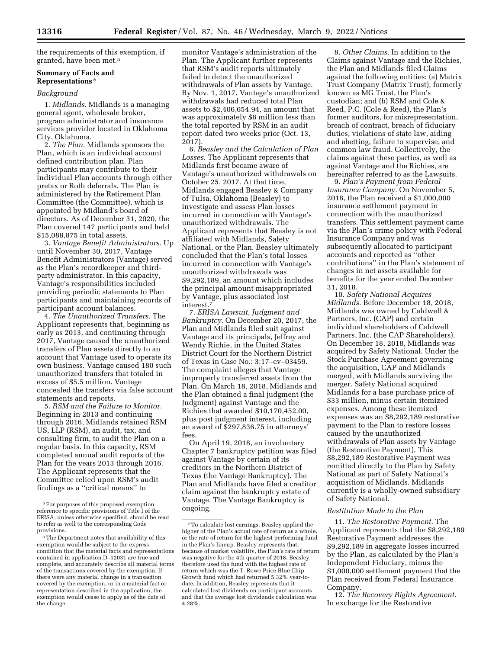the requirements of this exemption, if granted, have been met.5

## **Summary of Facts and Representations** 6

## *Background*

1. *Midlands.* Midlands is a managing general agent, wholesale broker, program administrator and insurance services provider located in Oklahoma City, Oklahoma.

2. *The Plan.* Midlands sponsors the Plan, which is an individual account defined contribution plan. Plan participants may contribute to their individual Plan accounts through either pretax or Roth deferrals. The Plan is administered by the Retirement Plan Committee (the Committee), which is appointed by Midland's board of directors. As of December 31, 2020, the Plan covered 147 participants and held \$15,088,875 in total assets.

3. *Vantage Benefit Administrators.* Up until November 30, 2017, Vantage Benefit Administrators (Vantage) served as the Plan's recordkeeper and thirdparty administrator. In this capacity, Vantage's responsibilities included providing periodic statements to Plan participants and maintaining records of participant account balances.

4. *The Unauthorized Transfers.* The Applicant represents that, beginning as early as 2013, and continuing through 2017, Vantage caused the unauthorized transfers of Plan assets directly to an account that Vantage used to operate its own business. Vantage caused 180 such unauthorized transfers that totaled in excess of \$5.5 million. Vantage concealed the transfers via false account statements and reports.

5. *RSM and the Failure to Monitor.*  Beginning in 2013 and continuing through 2016, Midlands retained RSM US, LLP (RSM), an audit, tax, and consulting firm, to audit the Plan on a regular basis. In this capacity, RSM completed annual audit reports of the Plan for the years 2013 through 2016. The Applicant represents that the Committee relied upon RSM's audit findings as a ''critical means'' to

monitor Vantage's administration of the Plan. The Applicant further represents that RSM's audit reports ultimately failed to detect the unauthorized withdrawals of Plan assets by Vantage. By Nov. 1, 2017, Vantage's unauthorized withdrawals had reduced total Plan assets to \$2,406,654.94, an amount that was approximately \$8 million less than the total reported by RSM in an audit report dated two weeks prior (Oct. 13, 2017).

6. *Beasley and the Calculation of Plan Losses.* The Applicant represents that Midlands first became aware of Vantage's unauthorized withdrawals on October 25, 2017. At that time, Midlands engaged Beasley & Company of Tulsa, Oklahoma (Beasley) to investigate and assess Plan losses incurred in connection with Vantage's unauthorized withdrawals. The Applicant represents that Beasley is not affiliated with Midlands, Safety National, or the Plan. Beasley ultimately concluded that the Plan's total losses incurred in connection with Vantage's unauthorized withdrawals was \$9,292,189, an amount which includes the principal amount misappropriated by Vantage, plus associated lost interest.7

7. *ERISA Lawsuit, Judgment and Bankruptcy.* On December 20, 2017, the Plan and Midlands filed suit against Vantage and its principals, Jeffrey and Wendy Richie, in the United States District Court for the Northern District of Texas in Case No.: 3:17–cv–03459. The complaint alleges that Vantage improperly transferred assets from the Plan. On March 18, 2018, Midlands and the Plan obtained a final judgment (the Judgment) against Vantage and the Richies that awarded \$10,170,452.00, plus post judgment interest, including an award of \$297,836.75 in attorneys' fees.

On April 19, 2018, an involuntary Chapter 7 bankruptcy petition was filed against Vantage by certain of its creditors in the Northern District of Texas (the Vantage Bankruptcy). The Plan and Midlands have filed a creditor claim against the bankruptcy estate of Vantage. The Vantage Bankruptcy is ongoing.

8. *Other Claims.* In addition to the Claims against Vantage and the Richies, the Plan and Midlands filed Claims against the following entities: (a) Matrix Trust Company (Matrix Trust), formerly known as MG Trust, the Plan's custodian; and (b) RSM and Cole & Reed, P.C. (Cole & Reed), the Plan's former auditors, for misrepresentation, breach of contract, breach of fiduciary duties, violations of state law, aiding and abetting, failure to supervise, and common law fraud. Collectively, the claims against these parties, as well as against Vantage and the Richies, are hereinafter referred to as the Lawsuits.

9. *Plan's Payment from Federal Insurance Company.* On November 5, 2018, the Plan received a \$1,000,000 insurance settlement payment in connection with the unauthorized transfers. This settlement payment came via the Plan's crime policy with Federal Insurance Company and was subsequently allocated to participant accounts and reported as ''other contributions'' in the Plan's statement of changes in net assets available for benefits for the year ended December 31, 2018.

10. *Safety National Acquires Midlands.* Before December 18, 2018, Midlands was owned by Caldwell & Partners, Inc. (CAP) and certain individual shareholders of Caldwell Partners, Inc. (the CAP Shareholders). On December 18, 2018, Midlands was acquired by Safety National. Under the Stock Purchase Agreement governing the acquisition, CAP and Midlands merged, with Midlands surviving the merger. Safety National acquired Midlands for a base purchase price of \$33 million, minus certain itemized expenses. Among these itemized expenses was an \$8,292,189 restorative payment to the Plan to restore losses caused by the unauthorized withdrawals of Plan assets by Vantage (the Restorative Payment). This \$8,292,189 Restorative Payment was remitted directly to the Plan by Safety National as part of Safety National's acquisition of Midlands. Midlands currently is a wholly-owned subsidiary of Safety National.

### *Restitution Made to the Plan*

11. *The Restorative Payment.* The Applicant represents that the \$8,292,189 Restorative Payment addresses the \$9,292,189 in aggregate losses incurred by the Plan, as calculated by the Plan's Independent Fiduciary, minus the \$1,000,000 settlement payment that the Plan received from Federal Insurance Company.

12. *The Recovery Rights Agreement.*  In exchange for the Restorative

<sup>5</sup>For purposes of this proposed exemption reference to specific provisions of Title I of the ERISA, unless otherwise specified, should be read to refer as well to the corresponding Code provisions.

<sup>&</sup>lt;sup>6</sup>The Department notes that availability of this exemption would be subject to the express condition that the material facts and representations contained in application D–12031 are true and complete, and accurately describe all material terms of the transactions covered by the exemption. If there were any material change in a transaction covered by the exemption, or in a material fact or representation described in the application, the exemption would cease to apply as of the date of the change.

<sup>7</sup>To calculate lost earnings, Beasley applied the higher of the Plan's actual rate of return as a whole, or the rate of return for the highest performing fund in the Plan's lineup. Beasley represents that, because of market volatility, the Plan's rate of return was negative for the 4th quarter of 2018. Beasley therefore used the fund with the highest rate of return which was the T. Rowe Price Blue Chip Growth fund which had returned 5.32% year-todate. In addition, Beasley represents that it calculated lost dividends on participant accounts and that the average lost dividends calculation was 4.28%.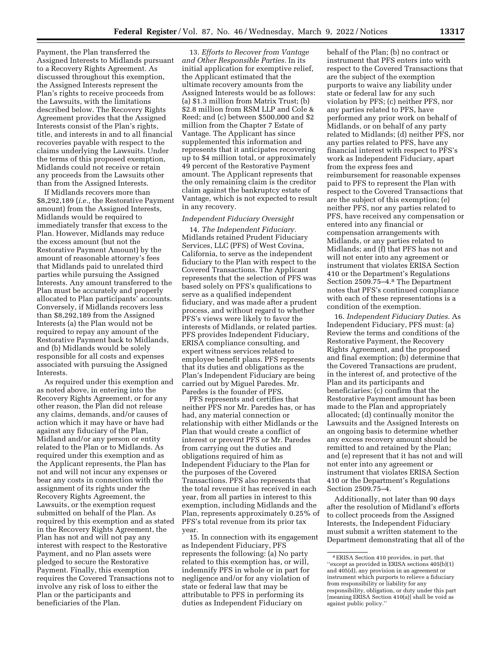Payment, the Plan transferred the Assigned Interests to Midlands pursuant to a Recovery Rights Agreement. As discussed throughout this exemption, the Assigned Interests represent the Plan's rights to receive proceeds from the Lawsuits, with the limitations described below. The Recovery Rights Agreement provides that the Assigned Interests consist of the Plan's rights, title, and interests in and to all financial recoveries payable with respect to the claims underlying the Lawsuits. Under the terms of this proposed exemption, Midlands could not receive or retain any proceeds from the Lawsuits other than from the Assigned Interests.

If Midlands recovers more than \$8,292,189 (*i.e.,* the Restorative Payment amount) from the Assigned Interests, Midlands would be required to immediately transfer that excess to the Plan. However, Midlands may reduce the excess amount (but not the Restorative Payment Amount) by the amount of reasonable attorney's fees that Midlands paid to unrelated third parties while pursuing the Assigned Interests. Any amount transferred to the Plan must be accurately and properly allocated to Plan participants' accounts. Conversely, if Midlands recovers less than \$8,292,189 from the Assigned Interests (a) the Plan would not be required to repay any amount of the Restorative Payment back to Midlands, and (b) Midlands would be solely responsible for all costs and expenses associated with pursuing the Assigned Interests.

As required under this exemption and as noted above, in entering into the Recovery Rights Agreement, or for any other reason, the Plan did not release any claims, demands, and/or causes of action which it may have or have had against any fiduciary of the Plan, Midland and/or any person or entity related to the Plan or to Midlands. As required under this exemption and as the Applicant represents, the Plan has not and will not incur any expenses or bear any costs in connection with the assignment of its rights under the Recovery Rights Agreement, the Lawsuits, or the exemption request submitted on behalf of the Plan. As required by this exemption and as stated in the Recovery Rights Agreement, the Plan has not and will not pay any interest with respect to the Restorative Payment, and no Plan assets were pledged to secure the Restorative Payment. Finally, this exemption requires the Covered Transactions not to involve any risk of loss to either the Plan or the participants and beneficiaries of the Plan.

13. *Efforts to Recover from Vantage and Other Responsible Parties.* In its initial application for exemptive relief, the Applicant estimated that the ultimate recovery amounts from the Assigned Interests would be as follows: (a) \$1.3 million from Matrix Trust; (b) \$2.8 million from RSM LLP and Cole & Reed; and (c) between \$500,000 and \$2 million from the Chapter 7 Estate of Vantage. The Applicant has since supplemented this information and represents that it anticipates recovering up to \$4 million total, or approximately 49 percent of the Restorative Payment amount. The Applicant represents that the only remaining claim is the creditor claim against the bankruptcy estate of Vantage, which is not expected to result in any recovery.

## *Independent Fiduciary Oversight*

14. *The Independent Fiduciary.*  Midlands retained Prudent Fiduciary Services, LLC (PFS) of West Covina, California, to serve as the independent fiduciary to the Plan with respect to the Covered Transactions. The Applicant represents that the selection of PFS was based solely on PFS's qualifications to serve as a qualified independent fiduciary, and was made after a prudent process, and without regard to whether PFS's views were likely to favor the interests of Midlands, or related parties. PFS provides Independent Fiduciary, ERISA compliance consulting, and expert witness services related to employee benefit plans. PFS represents that its duties and obligations as the Plan's Independent Fiduciary are being carried out by Miguel Paredes. Mr. Paredes is the founder of PFS.

PFS represents and certifies that neither PFS nor Mr. Paredes has, or has had, any material connection or relationship with either Midlands or the Plan that would create a conflict of interest or prevent PFS or Mr. Paredes from carrying out the duties and obligations required of him as Independent Fiduciary to the Plan for the purposes of the Covered Transactions. PFS also represents that the total revenue it has received in each year, from all parties in interest to this exemption, including Midlands and the Plan, represents approximately 0.25% of PFS's total revenue from its prior tax year.

15. In connection with its engagement as Independent Fiduciary, PFS represents the following: (a) No party related to this exemption has, or will, indemnify PFS in whole or in part for negligence and/or for any violation of state or federal law that may be attributable to PFS in performing its duties as Independent Fiduciary on

behalf of the Plan; (b) no contract or instrument that PFS enters into with respect to the Covered Transactions that are the subject of the exemption purports to waive any liability under state or federal law for any such violation by PFS; (c) neither PFS, nor any parties related to PFS, have performed any prior work on behalf of Midlands, or on behalf of any party related to Midlands; (d) neither PFS, nor any parties related to PFS, have any financial interest with respect to PFS's work as Independent Fiduciary, apart from the express fees and reimbursement for reasonable expenses paid to PFS to represent the Plan with respect to the Covered Transactions that are the subject of this exemption; (e) neither PFS, nor any parties related to PFS, have received any compensation or entered into any financial or compensation arrangements with Midlands, or any parties related to Midlands; and (f) that PFS has not and will not enter into any agreement or instrument that violates ERISA Section 410 or the Department's Regulations Section 2509.75–4.8 The Department notes that PFS's continued compliance with each of these representations is a condition of the exemption.

16. *Independent Fiduciary Duties.* As Independent Fiduciary, PFS must: (a) Review the terms and conditions of the Restorative Payment, the Recovery Rights Agreement, and the proposed and final exemption; (b) determine that the Covered Transactions are prudent, in the interest of, and protective of the Plan and its participants and beneficiaries; (c) confirm that the Restorative Payment amount has been made to the Plan and appropriately allocated; (d) continually monitor the Lawsuits and the Assigned Interests on an ongoing basis to determine whether any excess recovery amount should be remitted to and retained by the Plan; and (e) represent that it has not and will not enter into any agreement or instrument that violates ERISA Section 410 or the Department's Regulations Section 2509.75–4.

Additionally, not later than 90 days after the resolution of Midland's efforts to collect proceeds from the Assigned Interests, the Independent Fiduciary must submit a written statement to the Department demonstrating that all of the

<sup>8</sup>ERISA Section 410 provides, in part, that ''except as provided in ERISA sections 405(b)(1) and 405(d), any provision in an agreement or instrument which purports to relieve a fiduciary from responsibility or liability for any responsibility, obligation, or duty under this part [meaning ERISA Section 410(a)] shall be void as against public policy.''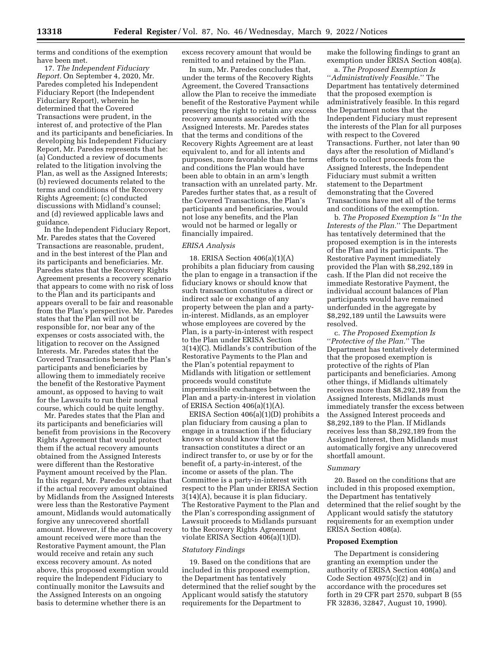terms and conditions of the exemption have been met.

17. *The Independent Fiduciary Report.* On September 4, 2020, Mr. Paredes completed his Independent Fiduciary Report (the Independent Fiduciary Report), wherein he determined that the Covered Transactions were prudent, in the interest of, and protective of the Plan and its participants and beneficiaries. In developing his Independent Fiduciary Report, Mr. Paredes represents that he: (a) Conducted a review of documents related to the litigation involving the Plan, as well as the Assigned Interests; (b) reviewed documents related to the terms and conditions of the Recovery Rights Agreement; (c) conducted discussions with Midland's counsel; and (d) reviewed applicable laws and guidance.

In the Independent Fiduciary Report, Mr. Paredes states that the Covered Transactions are reasonable, prudent, and in the best interest of the Plan and its participants and beneficiaries. Mr. Paredes states that the Recovery Rights Agreement presents a recovery scenario that appears to come with no risk of loss to the Plan and its participants and appears overall to be fair and reasonable from the Plan's perspective. Mr. Paredes states that the Plan will not be responsible for, nor bear any of the expenses or costs associated with, the litigation to recover on the Assigned Interests. Mr. Paredes states that the Covered Transactions benefit the Plan's participants and beneficiaries by allowing them to immediately receive the benefit of the Restorative Payment amount, as opposed to having to wait for the Lawsuits to run their normal course, which could be quite lengthy.

Mr. Paredes states that the Plan and its participants and beneficiaries will benefit from provisions in the Recovery Rights Agreement that would protect them if the actual recovery amounts obtained from the Assigned Interests were different than the Restorative Payment amount received by the Plan. In this regard, Mr. Paredes explains that if the actual recovery amount obtained by Midlands from the Assigned Interests were less than the Restorative Payment amount, Midlands would automatically forgive any unrecovered shortfall amount. However, if the actual recovery amount received were more than the Restorative Payment amount, the Plan would receive and retain any such excess recovery amount. As noted above, this proposed exemption would require the Independent Fiduciary to continually monitor the Lawsuits and the Assigned Interests on an ongoing basis to determine whether there is an

excess recovery amount that would be remitted to and retained by the Plan.

In sum, Mr. Paredes concludes that, under the terms of the Recovery Rights Agreement, the Covered Transactions allow the Plan to receive the immediate benefit of the Restorative Payment while preserving the right to retain any excess recovery amounts associated with the Assigned Interests. Mr. Paredes states that the terms and conditions of the Recovery Rights Agreement are at least equivalent to, and for all intents and purposes, more favorable than the terms and conditions the Plan would have been able to obtain in an arm's length transaction with an unrelated party. Mr. Paredes further states that, as a result of the Covered Transactions, the Plan's participants and beneficiaries, would not lose any benefits, and the Plan would not be harmed or legally or financially impaired.

#### *ERISA Analysis*

18. ERISA Section 406(a)(1)(A) prohibits a plan fiduciary from causing the plan to engage in a transaction if the fiduciary knows or should know that such transaction constitutes a direct or indirect sale or exchange of any property between the plan and a partyin-interest. Midlands, as an employer whose employees are covered by the Plan, is a party-in-interest with respect to the Plan under ERISA Section 3(14)(C). Midlands's contribution of the Restorative Payments to the Plan and the Plan's potential repayment to Midlands with litigation or settlement proceeds would constitute impermissible exchanges between the Plan and a party-in-interest in violation of ERISA Section 406(a)(1)(A).

ERISA Section 406(a)(1)(D) prohibits a plan fiduciary from causing a plan to engage in a transaction if the fiduciary knows or should know that the transaction constitutes a direct or an indirect transfer to, or use by or for the benefit of, a party-in-interest, of the income or assets of the plan. The Committee is a party-in-interest with respect to the Plan under ERISA Section 3(14)(A), because it is plan fiduciary. The Restorative Payment to the Plan and the Plan's corresponding assignment of Lawsuit proceeds to Midlands pursuant to the Recovery Rights Agreement violate ERISA Section 406(a)(1)(D).

### *Statutory Findings*

19. Based on the conditions that are included in this proposed exemption, the Department has tentatively determined that the relief sought by the Applicant would satisfy the statutory requirements for the Department to

make the following findings to grant an exemption under ERISA Section 408(a).

a. *The Proposed Exemption Is*  ''*Administratively Feasible.*'' The Department has tentatively determined that the proposed exemption is administratively feasible. In this regard the Department notes that the Independent Fiduciary must represent the interests of the Plan for all purposes with respect to the Covered Transactions. Further, not later than 90 days after the resolution of Midland's efforts to collect proceeds from the Assigned Interests, the Independent Fiduciary must submit a written statement to the Department demonstrating that the Covered Transactions have met all of the terms and conditions of the exemption.

b. *The Proposed Exemption Is* ''*In the Interests of the Plan.*'' The Department has tentatively determined that the proposed exemption is in the interests of the Plan and its participants. The Restorative Payment immediately provided the Plan with \$8,292,189 in cash. If the Plan did not receive the immediate Restorative Payment, the individual account balances of Plan participants would have remained underfunded in the aggregate by \$8,292,189 until the Lawsuits were resolved.

c. *The Proposed Exemption Is*  ''*Protective of the Plan.*'' The Department has tentatively determined that the proposed exemption is protective of the rights of Plan participants and beneficiaries. Among other things, if Midlands ultimately receives more than \$8,292,189 from the Assigned Interests, Midlands must immediately transfer the excess between the Assigned Interest proceeds and \$8,292,189 to the Plan. If Midlands receives less than \$8,292,189 from the Assigned Interest, then Midlands must automatically forgive any unrecovered shortfall amount.

#### *Summary*

20. Based on the conditions that are included in this proposed exemption, the Department has tentatively determined that the relief sought by the Applicant would satisfy the statutory requirements for an exemption under ERISA Section 408(a).

#### **Proposed Exemption**

The Department is considering granting an exemption under the authority of ERISA Section 408(a) and Code Section 4975(c)(2) and in accordance with the procedures set forth in 29 CFR part 2570, subpart B (55 FR 32836, 32847, August 10, 1990).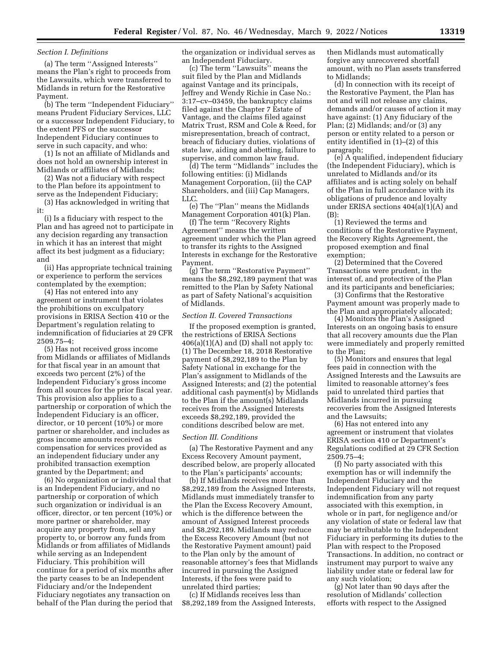### *Section I. Definitions*

(a) The term ''Assigned Interests'' means the Plan's right to proceeds from the Lawsuits, which were transferred to Midlands in return for the Restorative Payment.

(b) The term ''Independent Fiduciary'' means Prudent Fiduciary Services, LLC or a successor Independent Fiduciary, to the extent PFS or the successor Independent Fiduciary continues to serve in such capacity, and who:

(1) Is not an affiliate of Midlands and does not hold an ownership interest in Midlands or affiliates of Midlands;

(2) Was not a fiduciary with respect to the Plan before its appointment to serve as the Independent Fiduciary;

(3) Has acknowledged in writing that it:

(i) Is a fiduciary with respect to the Plan and has agreed not to participate in any decision regarding any transaction in which it has an interest that might affect its best judgment as a fiduciary; and

(ii) Has appropriate technical training or experience to perform the services contemplated by the exemption;

(4) Has not entered into any agreement or instrument that violates the prohibitions on exculpatory provisions in ERISA Section 410 or the Department's regulation relating to indemnification of fiduciaries at 29 CFR 2509.75–4;

(5) Has not received gross income from Midlands or affiliates of Midlands for that fiscal year in an amount that exceeds two percent (2%) of the Independent Fiduciary's gross income from all sources for the prior fiscal year. This provision also applies to a partnership or corporation of which the Independent Fiduciary is an officer, director, or 10 percent (10%) or more partner or shareholder, and includes as gross income amounts received as compensation for services provided as an independent fiduciary under any prohibited transaction exemption granted by the Department; and

(6) No organization or individual that is an Independent Fiduciary, and no partnership or corporation of which such organization or individual is an officer, director, or ten percent (10%) or more partner or shareholder, may acquire any property from, sell any property to, or borrow any funds from Midlands or from affiliates of Midlands while serving as an Independent Fiduciary. This prohibition will continue for a period of six months after the party ceases to be an Independent Fiduciary and/or the Independent Fiduciary negotiates any transaction on behalf of the Plan during the period that

the organization or individual serves as an Independent Fiduciary.

(c) The term ''Lawsuits'' means the suit filed by the Plan and Midlands against Vantage and its principals, Jeffrey and Wendy Richie in Case No.: 3:17–cv–03459, the bankruptcy claims filed against the Chapter 7 Estate of Vantage, and the claims filed against Matrix Trust, RSM and Cole & Reed, for misrepresentation, breach of contract, breach of fiduciary duties, violations of state law, aiding and abetting, failure to supervise, and common law fraud.

(d) The term ''Midlands'' includes the following entities: (i) Midlands Management Corporation, (ii) the CAP Shareholders, and (iii) Cap Managers, LLC.

(e) The ''Plan'' means the Midlands Management Corporation 401(k) Plan.

(f) The term ''Recovery Rights Agreement'' means the written agreement under which the Plan agreed to transfer its rights to the Assigned Interests in exchange for the Restorative Payment.

(g) The term ''Restorative Payment'' means the \$8,292,189 payment that was remitted to the Plan by Safety National as part of Safety National's acquisition of Midlands.

#### *Section II. Covered Transactions*

If the proposed exemption is granted, the restrictions of ERISA Sections  $406(a)(1)(A)$  and (D) shall not apply to: (1) The December 18, 2018 Restorative payment of \$8,292,189 to the Plan by Safety National in exchange for the Plan's assignment to Midlands of the Assigned Interests; and (2) the potential additional cash payment(s) by Midlands to the Plan if the amount(s) Midlands receives from the Assigned Interests exceeds \$8,292,189, provided the conditions described below are met.

### *Section III. Conditions*

(a) The Restorative Payment and any Excess Recovery Amount payment, described below, are properly allocated to the Plan's participants' accounts;

(b) If Midlands receives more than \$8,292,189 from the Assigned Interests, Midlands must immediately transfer to the Plan the Excess Recovery Amount, which is the difference between the amount of Assigned Interest proceeds and \$8,292,189. Midlands may reduce the Excess Recovery Amount (but not the Restorative Payment amount) paid to the Plan only by the amount of reasonable attorney's fees that Midlands incurred in pursuing the Assigned Interests, if the fees were paid to unrelated third parties;

(c) If Midlands receives less than \$8,292,189 from the Assigned Interests, then Midlands must automatically forgive any unrecovered shortfall amount, with no Plan assets transferred to Midlands;

(d) In connection with its receipt of the Restorative Payment, the Plan has not and will not release any claims, demands and/or causes of action it may have against: (1) Any fiduciary of the Plan; (2) Midlands; and/or (3) any person or entity related to a person or entity identified in (1)–(2) of this paragraph;

(e) A qualified, independent fiduciary (the Independent Fiduciary), which is unrelated to Midlands and/or its affiliates and is acting solely on behalf of the Plan in full accordance with its obligations of prudence and loyalty under ERISA sections 404(a)(1)(A) and (B):

(1) Reviewed the terms and conditions of the Restorative Payment, the Recovery Rights Agreement, the proposed exemption and final exemption;

(2) Determined that the Covered Transactions were prudent, in the interest of, and protective of the Plan and its participants and beneficiaries;

(3) Confirms that the Restorative Payment amount was properly made to the Plan and appropriately allocated;

(4) Monitors the Plan's Assigned Interests on an ongoing basis to ensure that all recovery amounts due the Plan were immediately and properly remitted to the Plan;

(5) Monitors and ensures that legal fees paid in connection with the Assigned Interests and the Lawsuits are limited to reasonable attorney's fees paid to unrelated third parties that Midlands incurred in pursuing recoveries from the Assigned Interests and the Lawsuits;

(6) Has not entered into any agreement or instrument that violates ERISA section 410 or Department's Regulations codified at 29 CFR Section 2509.75–4;

(f) No party associated with this exemption has or will indemnify the Independent Fiduciary and the Independent Fiduciary will not request indemnification from any party associated with this exemption, in whole or in part, for negligence and/or any violation of state or federal law that may be attributable to the Independent Fiduciary in performing its duties to the Plan with respect to the Proposed Transactions. In addition, no contract or instrument may purport to waive any liability under state or federal law for any such violation;

(g) Not later than 90 days after the resolution of Midlands' collection efforts with respect to the Assigned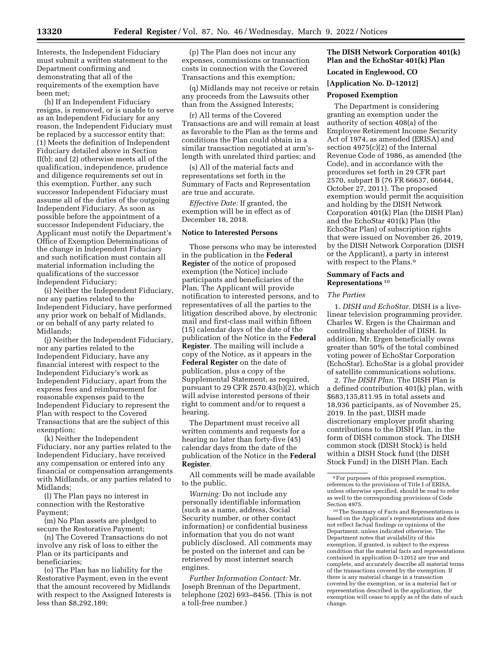Interests, the Independent Fiduciary must submit a written statement to the Department confirming and demonstrating that all of the requirements of the exemption have been met;

(h) If an Independent Fiduciary resigns, is removed, or is unable to serve as an Independent Fiduciary for any reason, the Independent Fiduciary must be replaced by a successor entity that: (1) Meets the definition of Independent Fiduciary detailed above in Section II(b); and (2) otherwise meets all of the qualification, independence, prudence and diligence requirements set out in this exemption. Further, any such successor Independent Fiduciary must assume all of the duties of the outgoing Independent Fiduciary. As soon as possible before the appointment of a successor Independent Fiduciary, the Applicant must notify the Department's Office of Exemption Determinations of the change in Independent Fiduciary and such notification must contain all material information including the qualifications of the successor Independent Fiduciary;

(i) Neither the Independent Fiduciary, nor any parties related to the Independent Fiduciary, have performed any prior work on behalf of Midlands, or on behalf of any party related to Midlands;

(j) Neither the Independent Fiduciary, nor any parties related to the Independent Fiduciary, have any financial interest with respect to the Independent Fiduciary's work as Independent Fiduciary, apart from the express fees and reimbursement for reasonable expenses paid to the Independent Fiduciary to represent the Plan with respect to the Covered Transactions that are the subject of this exemption;

(k) Neither the Independent Fiduciary, nor any parties related to the Independent Fiduciary, have received any compensation or entered into any financial or compensation arrangements with Midlands, or any parties related to Midlands;

(l) The Plan pays no interest in connection with the Restorative Payment;

(m) No Plan assets are pledged to secure the Restorative Payment;

(n) The Covered Transactions do not involve any risk of loss to either the Plan or its participants and beneficiaries;

(o) The Plan has no liability for the Restorative Payment, even in the event that the amount recovered by Midlands with respect to the Assigned Interests is less than \$8,292,189;

(p) The Plan does not incur any expenses, commissions or transaction costs in connection with the Covered Transactions and this exemption;

(q) Midlands may not receive or retain any proceeds from the Lawsuits other than from the Assigned Interests;

(r) All terms of the Covered Transactions are and will remain at least as favorable to the Plan as the terms and conditions the Plan could obtain in a similar transaction negotiated at arm'slength with unrelated third parties; and

(s) All of the material facts and representations set forth in the Summary of Facts and Representation are true and accurate.

*Effective Date:* If granted, the exemption will be in effect as of December 18, 2018.

### **Notice to Interested Persons**

Those persons who may be interested in the publication in the **Federal Register** of the notice of proposed exemption (the Notice) include participants and beneficiaries of the Plan. The Applicant will provide notification to interested persons, and to representatives of all the parties to the litigation described above, by electronic mail and first-class mail within fifteen (15) calendar days of the date of the publication of the Notice in the **Federal Register**. The mailing will include a copy of the Notice, as it appears in the **Federal Register** on the date of publication, plus a copy of the Supplemental Statement, as required, pursuant to 29 CFR 2570.43(b)(2), which will advise interested persons of their right to comment and/or to request a hearing.

The Department must receive all written comments and requests for a hearing no later than forty-five (45) calendar days from the date of the publication of the Notice in the **Federal Register**.

All comments will be made available to the public.

*Warning:* Do not include any personally identifiable information (such as a name, address, Social Security number, or other contact information) or confidential business information that you do not want publicly disclosed. All comments may be posted on the internet and can be retrieved by most internet search engines.

*Further Information Contact:* Mr. Joseph Brennan of the Department, telephone (202) 693–8456. (This is not a toll-free number.)

## **The DISH Network Corporation 401(k) Plan and the EchoStar 401(k) Plan**

# **Located in Englewood, CO**

### **[Application No. D–12012]**

## **Proposed Exemption**

The Department is considering granting an exemption under the authority of section 408(a) of the Employee Retirement Income Security Act of 1974, as amended (ERISA) and section 4975(c)(2) of the Internal Revenue Code of 1986, as amended (the Code), and in accordance with the procedures set forth in 29 CFR part 2570, subpart B (76 FR 66637, 66644, October 27, 2011). The proposed exemption would permit the acquisition and holding by the DISH Network Corporation 401(k) Plan (the DISH Plan) and the EchoStar 401(k) Plan (the EchoStar Plan) of subscription rights that were issued on November 26, 2019, by the DISH Network Corporation (DISH or the Applicant), a party in interest with respect to the Plans.9

### **Summary of Facts and Representations** 10

#### *The Parties*

1. *DISH and EchoStar.* DISH is a livelinear television programming provider. Charles W. Ergen is the Chairman and controlling shareholder of DISH. In addition, Mr. Ergen beneficially owns greater than 50% of the total combined voting power of EchoStar Corporation (EchoStar). EchoStar is a global provider of satellite communications solutions.

2. *The DISH Plan.* The DISH Plan is a defined contribution 401(k) plan, with \$683,135,811.95 in total assets and 18,936 participants, as of November 25, 2019. In the past, DISH made discretionary employer profit sharing contributions to the DISH Plan, in the form of DISH common stock. The DISH common stock (DISH Stock) is held within a DISH Stock fund (the DISH Stock Fund) in the DISH Plan. Each

10The Summary of Facts and Representations is based on the Applicant's representations and does not reflect factual findings or opinions of the Department, unless indicated otherwise. The Department notes that availability of this exemption, if granted, is subject to the express condition that the material facts and representations contained in application D-12012 are true and complete, and accurately describe all material terms of the transactions covered by the exemption. If there is any material change in a transaction covered by the exemption, or in a material fact or representation described in the application, the exemption will cease to apply as of the date of such change.

<sup>9</sup>For purposes of this proposed exemption, references to the provisions of Title I of ERISA, unless otherwise specified, should be read to refer as well to the corresponding provisions of Code Section 4975.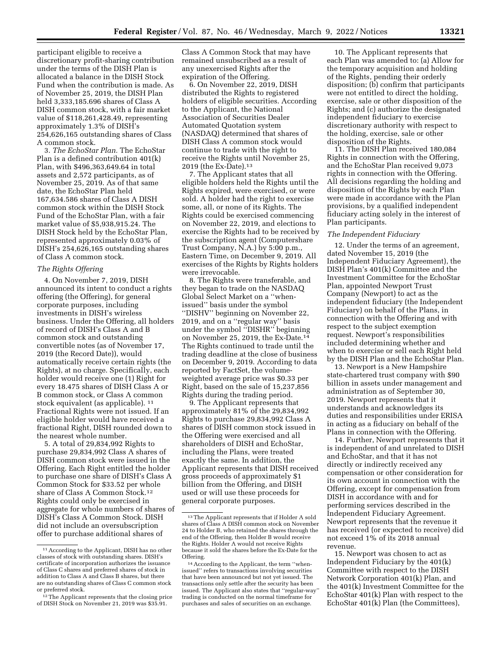participant eligible to receive a discretionary profit-sharing contribution under the terms of the DISH Plan is allocated a balance in the DISH Stock Fund when the contribution is made. As of November 25, 2019, the DISH Plan held 3,333,185.696 shares of Class A DISH common stock, with a fair market value of \$118,261,428.49, representing approximately 1.3% of DISH's 254,626,165 outstanding shares of Class A common stock.

3. *The EchoStar Plan.* The EchoStar Plan is a defined contribution 401(k) Plan, with \$496,363,649.64 in total assets and 2,572 participants, as of November 25, 2019. As of that same date, the EchoStar Plan held 167,634.586 shares of Class A DISH common stock within the DISH Stock Fund of the EchoStar Plan, with a fair market value of \$5,938,915.24. The DISH Stock held by the EchoStar Plan, represented approximately 0.03% of DISH's 254,626,165 outstanding shares of Class A common stock.

### *The Rights Offering*

4. On November 7, 2019, DISH announced its intent to conduct a rights offering (the Offering), for general corporate purposes, including investments in DISH's wireless business. Under the Offering, all holders of record of DISH's Class A and B common stock and outstanding convertible notes (as of November 17, 2019 (the Record Date)), would automatically receive certain rights (the Rights), at no charge. Specifically, each holder would receive one (1) Right for every 18.475 shares of DISH Class A or B common stock, or Class A common stock equivalent (as applicable). 11 Fractional Rights were not issued. If an eligible holder would have received a fractional Right, DISH rounded down to the nearest whole number.

5. A total of 29,834,992 Rights to purchase 29,834,992 Class A shares of DISH common stock were issued in the Offering. Each Right entitled the holder to purchase one share of DISH's Class A Common Stock for \$33.52 per whole share of Class A Common Stock.12 Rights could only be exercised in aggregate for whole numbers of shares of DISH's Class A Common Stock. DISH did not include an oversubscription offer to purchase additional shares of

Class A Common Stock that may have remained unsubscribed as a result of any unexercised Rights after the expiration of the Offering.

6. On November 22, 2019, DISH distributed the Rights to registered holders of eligible securities. According to the Applicant, the National Association of Securities Dealer Automated Quotation system (NASDAQ) determined that shares of DISH Class A common stock would continue to trade with the right to receive the Rights until November 25, 2019 (the Ex-Date).13

7. The Applicant states that all eligible holders held the Rights until the Rights expired, were exercised, or were sold. A holder had the right to exercise some, all, or none of its Rights. The Rights could be exercised commencing on November 22, 2019, and elections to exercise the Rights had to be received by the subscription agent (Computershare Trust Company, N.A.) by 5:00 p.m., Eastern Time, on December 9, 2019. All exercises of the Rights by Rights holders were irrevocable.

8. The Rights were transferable, and they began to trade on the NASDAQ Global Select Market on a ''whenissued'' basis under the symbol ''DISHV'' beginning on November 22, 2019, and on a ''regular way'' basis under the symbol ''DISHR'' beginning on November 25, 2019, the Ex-Date.<sup>1</sup> The Rights continued to trade until the trading deadline at the close of business on December 9, 2019. According to data reported by FactSet, the volumeweighted average price was \$0.33 per Right, based on the sale of 15,237,856 Rights during the trading period.

9. The Applicant represents that approximately 81% of the 29,834,992 Rights to purchase 29,834,992 Class A shares of DISH common stock issued in the Offering were exercised and all shareholders of DISH and EchoStar, including the Plans, were treated exactly the same. In addition, the Applicant represents that DISH received gross proceeds of approximately \$1 billion from the Offering, and DISH used or will use these proceeds for general corporate purposes.

10. The Applicant represents that each Plan was amended to: (a) Allow for the temporary acquisition and holding of the Rights, pending their orderly disposition; (b) confirm that participants were not entitled to direct the holding, exercise, sale or other disposition of the Rights; and (c) authorize the designated independent fiduciary to exercise discretionary authority with respect to the holding, exercise, sale or other disposition of the Rights.

11. The DISH Plan received 180,084 Rights in connection with the Offering, and the EchoStar Plan received 9,073 rights in connection with the Offering. All decisions regarding the holding and disposition of the Rights by each Plan were made in accordance with the Plan provisions, by a qualified independent fiduciary acting solely in the interest of Plan participants.

#### *The Independent Fiduciary*

12. Under the terms of an agreement, dated November 15, 2019 (the Independent Fiduciary Agreement), the DISH Plan's 401(k) Committee and the Investment Committee for the EchoStar Plan, appointed Newport Trust Company (Newport) to act as the independent fiduciary (the Independent Fiduciary) on behalf of the Plans, in connection with the Offering and with respect to the subject exemption request. Newport's responsibilities included determining whether and when to exercise or sell each Right held by the DISH Plan and the EchoStar Plan.

13. Newport is a New Hampshire state-chartered trust company with \$90 billion in assets under management and administration as of September 30, 2019. Newport represents that it understands and acknowledges its duties and responsibilities under ERISA in acting as a fiduciary on behalf of the Plans in connection with the Offering.

14. Further, Newport represents that it is independent of and unrelated to DISH and EchoStar, and that it has not directly or indirectly received any compensation or other consideration for its own account in connection with the Offering, except for compensation from DISH in accordance with and for performing services described in the Independent Fiduciary Agreement. Newport represents that the revenue it has received (or expected to receive) did not exceed 1% of its 2018 annual revenue.

15. Newport was chosen to act as Independent Fiduciary by the 401(k) Committee with respect to the DISH Network Corporation 401(k) Plan, and the 401(k) Investment Committee for the EchoStar 401(k) Plan with respect to the EchoStar 401(k) Plan (the Committees),

<sup>11</sup>According to the Applicant, DISH has no other classes of stock with outstanding shares. DISH's certificate of incorporation authorizes the issuance of Class C shares and preferred shares of stock in addition to Class A and Class B shares, but there are no outstanding shares of Class C common stock or preferred stock.

<sup>&</sup>lt;sup>12</sup>The Applicant represents that the closing price of DISH Stock on November 21, 2019 was \$35.91.

<sup>13</sup>The Applicant represents that if Holder A sold shares of Class A DISH common stock on November 24 to Holder B, who retained the shares through the end of the Offering, then Holder B would receive the Rights. Holder A would not receive Rights because it sold the shares before the Ex-Date for the Offering.

<sup>14</sup>According to the Applicant, the term ''whenissued'' refers to transactions involving securities that have been announced but not yet issued. The transactions only settle after the security has been issued. The Applicant also states that ''regular-way'' trading is conducted on the normal timeframe for purchases and sales of securities on an exchange.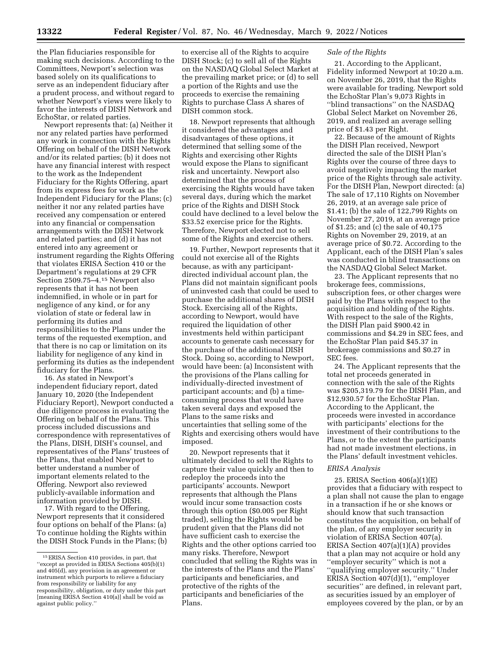the Plan fiduciaries responsible for making such decisions. According to the Committees, Newport's selection was based solely on its qualifications to serve as an independent fiduciary after a prudent process, and without regard to whether Newport's views were likely to favor the interests of DISH Network and EchoStar, or related parties.

Newport represents that: (a) Neither it nor any related parties have performed any work in connection with the Rights Offering on behalf of the DISH Network and/or its related parties; (b) it does not have any financial interest with respect to the work as the Independent Fiduciary for the Rights Offering, apart from its express fees for work as the Independent Fiduciary for the Plans; (c) neither it nor any related parties have received any compensation or entered into any financial or compensation arrangements with the DISH Network and related parties; and (d) it has not entered into any agreement or instrument regarding the Rights Offering that violates ERISA Section 410 or the Department's regulations at 29 CFR Section 2509.75–4.15 Newport also represents that it has not been indemnified, in whole or in part for negligence of any kind, or for any violation of state or federal law in performing its duties and responsibilities to the Plans under the terms of the requested exemption, and that there is no cap or limitation on its liability for negligence of any kind in performing its duties as the independent fiduciary for the Plans.

16. As stated in Newport's independent fiduciary report, dated January 10, 2020 (the Independent Fiduciary Report), Newport conducted a due diligence process in evaluating the Offering on behalf of the Plans. This process included discussions and correspondence with representatives of the Plans, DISH, DISH's counsel, and representatives of the Plans' trustees of the Plans, that enabled Newport to better understand a number of important elements related to the Offering. Newport also reviewed publicly-available information and information provided by DISH.

17. With regard to the Offering, Newport represents that it considered four options on behalf of the Plans: (a) To continue holding the Rights within the DISH Stock Funds in the Plans; (b)

to exercise all of the Rights to acquire DISH Stock; (c) to sell all of the Rights on the NASDAQ Global Select Market at the prevailing market price; or (d) to sell a portion of the Rights and use the proceeds to exercise the remaining Rights to purchase Class A shares of DISH common stock.

18. Newport represents that although it considered the advantages and disadvantages of these options, it determined that selling some of the Rights and exercising other Rights would expose the Plans to significant risk and uncertainty. Newport also determined that the process of exercising the Rights would have taken several days, during which the market price of the Rights and DISH Stock could have declined to a level below the \$33.52 exercise price for the Rights. Therefore, Newport elected not to sell some of the Rights and exercise others.

19. Further, Newport represents that it could not exercise all of the Rights because, as with any participantdirected individual account plan, the Plans did not maintain significant pools of uninvested cash that could be used to purchase the additional shares of DISH Stock. Exercising all of the Rights, according to Newport, would have required the liquidation of other investments held within participant accounts to generate cash necessary for the purchase of the additional DISH Stock. Doing so, according to Newport, would have been: (a) Inconsistent with the provisions of the Plans calling for individually-directed investment of participant accounts; and (b) a timeconsuming process that would have taken several days and exposed the Plans to the same risks and uncertainties that selling some of the Rights and exercising others would have imposed.

20. Newport represents that it ultimately decided to sell the Rights to capture their value quickly and then to redeploy the proceeds into the participants' accounts. Newport represents that although the Plans would incur some transaction costs through this option (\$0.005 per Right traded), selling the Rights would be prudent given that the Plans did not have sufficient cash to exercise the Rights and the other options carried too many risks. Therefore, Newport concluded that selling the Rights was in the interests of the Plans and the Plans' participants and beneficiaries, and protective of the rights of the participants and beneficiaries of the Plans.

### *Sale of the Rights*

21. According to the Applicant, Fidelity informed Newport at 10:20 a.m. on November 26, 2019, that the Rights were available for trading. Newport sold the EchoStar Plan's 9,073 Rights in ''blind transactions'' on the NASDAQ Global Select Market on November 26, 2019, and realized an average selling price of \$1.43 per Right.

22. Because of the amount of Rights the DISH Plan received, Newport directed the sale of the DISH Plan's Rights over the course of three days to avoid negatively impacting the market price of the Rights through sale activity. For the DISH Plan, Newport directed: (a) The sale of 17,110 Rights on November 26, 2019, at an average sale price of \$1.41; (b) the sale of 122,799 Rights on November 27, 2019, at an average price of \$1.25; and (c) the sale of 40,175 Rights on November 29, 2019, at an average price of \$0.72. According to the Applicant, each of the DISH Plan's sales was conducted in blind transactions on the NASDAQ Global Select Market.

23. The Applicant represents that no brokerage fees, commissions, subscription fees, or other charges were paid by the Plans with respect to the acquisition and holding of the Rights. With respect to the sale of the Rights, the DISH Plan paid \$900.42 in commissions and \$4.29 in SEC fees, and the EchoStar Plan paid \$45.37 in brokerage commissions and \$0.27 in SEC fees.

24. The Applicant represents that the total net proceeds generated in connection with the sale of the Rights was \$205,319.79 for the DISH Plan, and \$12,930.57 for the EchoStar Plan. According to the Applicant, the proceeds were invested in accordance with participants' elections for the investment of their contributions to the Plans, or to the extent the participants had not made investment elections, in the Plans' default investment vehicles.

### *ERISA Analysis*

25. ERISA Section 406(a)(1)(E) provides that a fiduciary with respect to a plan shall not cause the plan to engage in a transaction if he or she knows or should know that such transaction constitutes the acquisition, on behalf of the plan, of any employer security in violation of ERISA Section 407(a). ERISA Section 407(a)(1)(A) provides that a plan may not acquire or hold any ''employer security'' which is not a ''qualifying employer security.'' Under ERISA Section 407(d)(1), ''employer securities'' are defined, in relevant part, as securities issued by an employer of employees covered by the plan, or by an

<sup>15</sup>ERISA Section 410 provides, in part, that ''except as provided in ERISA Sections 405(b)(1) and 405(d), any provision in an agreement or instrument which purports to relieve a fiduciary from responsibility or liability for any responsibility, obligation, or duty under this part [meaning ERISA Section 410(a)] shall be void as against public policy.''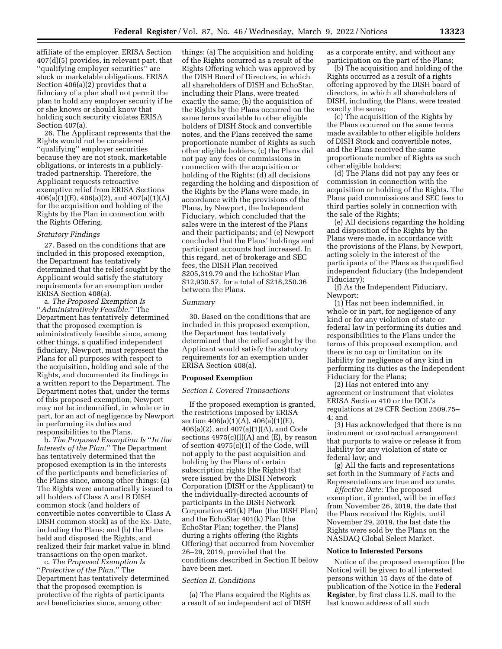affiliate of the employer. ERISA Section 407(d)(5) provides, in relevant part, that ''qualifying employer securities'' are stock or marketable obligations. ERISA Section 406(a)(2) provides that a fiduciary of a plan shall not permit the plan to hold any employer security if he or she knows or should know that holding such security violates ERISA Section 407(a).

26. The Applicant represents that the Rights would not be considered ''qualifying'' employer securities because they are not stock, marketable obligations, or interests in a publiclytraded partnership. Therefore, the Applicant requests retroactive exemptive relief from ERISA Sections  $406(a)(1)(E)$ ,  $406(a)(2)$ , and  $407(a)(1)(A)$ for the acquisition and holding of the Rights by the Plan in connection with the Rights Offering.

### *Statutory Findings*

27. Based on the conditions that are included in this proposed exemption, the Department has tentatively determined that the relief sought by the Applicant would satisfy the statutory requirements for an exemption under ERISA Section 408(a).

a. *The Proposed Exemption Is*  ''*Administratively Feasible.*'' The Department has tentatively determined that the proposed exemption is administratively feasible since, among other things, a qualified independent fiduciary, Newport, must represent the Plans for all purposes with respect to the acquisition, holding and sale of the Rights, and documented its findings in a written report to the Department. The Department notes that, under the terms of this proposed exemption, Newport may not be indemnified, in whole or in part, for an act of negligence by Newport in performing its duties and responsibilities to the Plans.

b. *The Proposed Exemption Is* ''*In the Interests of the Plan.*'' The Department has tentatively determined that the proposed exemption is in the interests of the participants and beneficiaries of the Plans since, among other things: (a) The Rights were automatically issued to all holders of Class A and B DISH common stock (and holders of convertible notes convertible to Class A DISH common stock) as of the Ex- Date, including the Plans; and (b) the Plans held and disposed the Rights, and realized their fair market value in blind transactions on the open market.

c. *The Proposed Exemption Is*  ''*Protective of the Plan.*'' The Department has tentatively determined that the proposed exemption is protective of the rights of participants and beneficiaries since, among other

things: (a) The acquisition and holding of the Rights occurred as a result of the Rights Offering which was approved by the DISH Board of Directors, in which all shareholders of DISH and EchoStar, including their Plans, were treated exactly the same; (b) the acquisition of the Rights by the Plans occurred on the same terms available to other eligible holders of DISH Stock and convertible notes, and the Plans received the same proportionate number of Rights as such other eligible holders; (c) the Plans did not pay any fees or commissions in connection with the acquisition or holding of the Rights; (d) all decisions regarding the holding and disposition of the Rights by the Plans were made, in accordance with the provisions of the Plans, by Newport, the Independent Fiduciary, which concluded that the sales were in the interest of the Plans and their participants; and (e) Newport concluded that the Plans' holdings and participant accounts had increased. In this regard, net of brokerage and SEC fees, the DISH Plan received \$205,319.79 and the EchoStar Plan \$12,930.57, for a total of \$218,250.36 between the Plans.

#### *Summary*

30. Based on the conditions that are included in this proposed exemption, the Department has tentatively determined that the relief sought by the Applicant would satisfy the statutory requirements for an exemption under ERISA Section 408(a).

### **Proposed Exemption**

## *Section I. Covered Transactions*

If the proposed exemption is granted, the restrictions imposed by ERISA section 406(a)(1)(A), 406(a)(1)(E), 406(a)(2), and 407(a)(1)(A), and Code sections  $4975(c)(l)(A)$  and  $(E)$ , by reason of section 4975(c)(1) of the Code, will not apply to the past acquisition and holding by the Plans of certain subscription rights (the Rights) that were issued by the DISH Network Corporation (DISH or the Applicant) to the individually-directed accounts of participants in the DISH Network Corporation 401(k) Plan (the DISH Plan) and the EchoStar 401(k) Plan (the EchoStar Plan; together, the Plans) during a rights offering (the Rights Offering) that occurred from November 26–29, 2019, provided that the conditions described in Section II below have been met.

### *Section II. Conditions*

(a) The Plans acquired the Rights as a result of an independent act of DISH as a corporate entity, and without any participation on the part of the Plans;

(b) The acquisition and holding of the Rights occurred as a result of a rights offering approved by the DISH board of directors, in which all shareholders of DISH, including the Plans, were treated exactly the same;

(c) The acquisition of the Rights by the Plans occurred on the same terms made available to other eligible holders of DISH Stock and convertible notes, and the Plans received the same proportionate number of Rights as such other eligible holders;

(d) The Plans did not pay any fees or commission in connection with the acquisition or holding of the Rights. The Plans paid commissions and SEC fees to third parties solely in connection with the sale of the Rights;

(e) All decisions regarding the holding and disposition of the Rights by the Plans were made, in accordance with the provisions of the Plans, by Newport, acting solely in the interest of the participants of the Plans as the qualified independent fiduciary (the Independent Fiduciary);

(f) As the Independent Fiduciary, Newport:

(1) Has not been indemnified, in whole or in part, for negligence of any kind or for any violation of state or federal law in performing its duties and responsibilities to the Plans under the terms of this proposed exemption, and there is no cap or limitation on its liability for negligence of any kind in performing its duties as the Independent Fiduciary for the Plans;

(2) Has not entered into any agreement or instrument that violates ERISA Section 410 or the DOL's regulations at 29 CFR Section 2509.75– 4; and

(3) Has acknowledged that there is no instrument or contractual arrangement that purports to waive or release it from liability for any violation of state or federal law; and

(g) All the facts and representations set forth in the Summary of Facts and Representations are true and accurate.

*Effective Date:* The proposed exemption, if granted, will be in effect from November 26, 2019, the date that the Plans received the Rights, until November 29, 2019, the last date the Rights were sold by the Plans on the NASDAQ Global Select Market.

### **Notice to Interested Persons**

Notice of the proposed exemption (the Notice) will be given to all interested persons within 15 days of the date of publication of the Notice in the **Federal Register**, by first class U.S. mail to the last known address of all such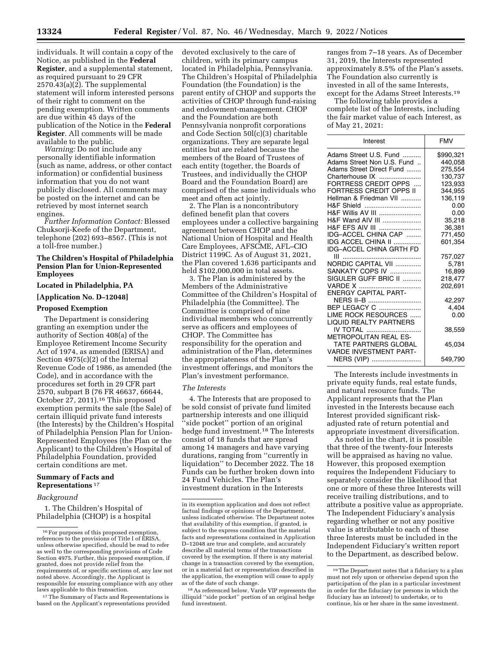individuals. It will contain a copy of the Notice, as published in the **Federal Register**, and a supplemental statement, as required pursuant to 29 CFR  $2570.43(a)(2)$ . The supplemental statement will inform interested persons of their right to comment on the pending exemption. Written comments are due within 45 days of the publication of the Notice in the **Federal Register**. All comments will be made available to the public.

*Warning:* Do not include any personally identifiable information (such as name, address, or other contact information) or confidential business information that you do not want publicly disclosed. All comments may be posted on the internet and can be retrieved by most internet search engines.

*Further Information Contact:* Blessed Chuksorji-Keefe of the Department, telephone (202) 693–8567. (This is not a toll-free number.)

### **The Children's Hospital of Philadelphia Pension Plan for Union-Represented Employees**

### **Located in Philadelphia, PA**

# **[Application No. D–12048]**

### **Proposed Exemption**

The Department is considering granting an exemption under the authority of Section 408(a) of the Employee Retirement Income Security Act of 1974, as amended (ERISA) and Section 4975(c)(2) of the Internal Revenue Code of 1986, as amended (the Code), and in accordance with the procedures set forth in 29 CFR part 2570, subpart B (76 FR 46637, 66644, October 27, 2011).16 This proposed exemption permits the sale (the Sale) of certain illiquid private fund interests (the Interests) by the Children's Hospital of Philadelphia Pension Plan for Union-Represented Employees (the Plan or the Applicant) to the Children's Hospital of Philadelphia Foundation, provided certain conditions are met.

### **Summary of Facts and Representations** 17

#### *Background*

1. The Children's Hospital of Philadelphia (CHOP) is a hospital

<sup>17</sup>The Summary of Facts and Representations is based on the Applicant's representations provided

devoted exclusively to the care of children, with its primary campus located in Philadelphia, Pennsylvania. The Children's Hospital of Philadelphia Foundation (the Foundation) is the parent entity of CHOP and supports the activities of CHOP through fund-raising and endowment-management. CHOP and the Foundation are both Pennsylvania nonprofit corporations and Code Section 50l(c)(3) charitable organizations. They are separate legal entities but are related because the members of the Board of Trustees of each entity (together, the Boards of Trustees, and individually the CHOP Board and the Foundation Board) are comprised of the same individuals who meet and often act jointly.

2. The Plan is a noncontributory defined benefit plan that covers employees under a collective bargaining agreement between CHOP and the National Union of Hospital and Health Care Employees, AFSCME, AFL–CIO District 1199C. As of August 31, 2021, the Plan covered 1,636 participants and held \$102,000,000 in total assets.

3. The Plan is administered by the Members of the Administrative Committee of the Children's Hospital of Philadelphia (the Committee). The Committee is comprised of nine individual members who concurrently serve as officers and employees of CHOP. The Committee has responsibility for the operation and administration of the Plan, determines the appropriateness of the Plan's investment offerings, and monitors the Plan's investment performance.

## *The Interests*

4. The Interests that are proposed to be sold consist of private fund limited partnership interests and one illiquid ''side pocket'' portion of an original hedge fund investment.18 The Interests consist of 18 funds that are spread among 14 managers and have varying durations, ranging from ''currently in liquidation'' to December 2022. The 18 Funds can be further broken down into 24 Fund Vehicles. The Plan's investment duration in the Interests

ranges from 7–18 years. As of December 31, 2019, the Interests represented approximately 8.5% of the Plan's assets. The Foundation also currently is invested in all of the same Interests, except for the Adams Street Interests.19

The following table provides a complete list of the Interests, including the fair market value of each Interest, as of May 21, 2021:

| Interest                              | <b>FMV</b>         |
|---------------------------------------|--------------------|
| Adams Street U.S. Fund                | \$990,321          |
| Adams Street Non U.S. Fund            | 440,058            |
| Adams Street Direct Fund              | 275.554            |
| Charterhouse IX                       | 130,737            |
| FORTRESS CREDIT OPPS                  | 123,933            |
| FORTRESS CREDIT OPPS II               | 344,955            |
| Hellman & Friedman VII                | 136,119            |
| H&F Shield                            | 0.00               |
| <b>H&amp;F Willis AV III </b>         | 0.00               |
| H&F Wand AIV III                      | 35,218             |
| H&F EFS AIV III                       | 36,381             |
| IDG-ACCEL CHINA CAP                   | 771,450            |
| IDG ACCEL CHINA II                    | 601,354            |
| IDG-ACCEL CHINA GRTH FD               |                    |
|                                       | 757,027            |
| NORDIC CAPITAL VII<br>SANKATY COPS IV | 5,781              |
|                                       | 16,899             |
| SIGULER GUFF BRIC II<br>VARDE X       | 218,477<br>202.691 |
| <b>ENERGY CAPITAL PART-</b>           |                    |
| NERS II-B                             | 42,297             |
| BEP LEGACY C                          | 4,404              |
| LIME ROCK RESOURCES                   | 0.00               |
| <b>LIQUID REALTY PARTNERS</b>         |                    |
| IV TOTAL                              | 38,559             |
| <b>METROPOLITAN REAL ES-</b>          |                    |
| TATE PARTNERS GLOBAL                  | 45,034             |
| <b>VARDE INVESTMENT PART-</b>         |                    |
| NERS (VIP)                            | 549,790            |

The Interests include investments in private equity funds, real estate funds, and natural resource funds. The Applicant represents that the Plan invested in the Interests because each Interest provided significant riskadjusted rate of return potential and appropriate investment diversification.

As noted in the chart, it is possible that three of the twenty-four Interests will be appraised as having no value. However, this proposed exemption requires the Independent Fiduciary to separately consider the likelihood that one or more of these three Interests will receive trailing distributions, and to attribute a positive value as appropriate. The Independent Fiduciary's analysis regarding whether or not any positive value is attributable to each of these three Interests must be included in the Independent Fiduciary's written report to the Department, as described below.

<sup>16</sup>For purposes of this proposed exemption, references to the provisions of Title I of ERISA, unless otherwise specified, should be read to refer as well to the corresponding provisions of Code Section 4975. Further, this proposed exemption, if granted, does not provide relief from the requirements of, or specific sections of, any law not noted above. Accordingly, the Applicant is responsible for ensuring compliance with any other laws applicable to this transaction.

in its exemption application and does not reflect factual findings or opinions of the Department, unless indicated otherwise. The Department notes that availability of this exemption, if granted, is subject to the express condition that the material facts and representations contained in Application D–12048 are true and complete, and accurately describe all material terms of the transactions covered by the exemption. If there is any material change in a transaction covered by the exemption, or in a material fact or representation described in the application, the exemption will cease to apply as of the date of such change.

<sup>18</sup>As referenced below, Varde VIP represents the illiquid ''side pocket'' portion of an original hedge fund investment.

<sup>19</sup>The Department notes that a fiduciary to a plan must not rely upon or otherwise depend upon the participation of the plan in a particular investment in order for the fiduciary (or persons in which the fiduciary has an interest) to undertake, or to continue, his or her share in the same investment.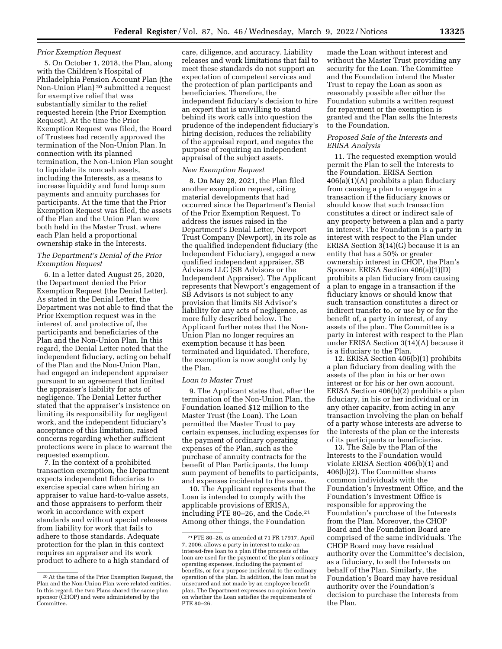## *Prior Exemption Request*

5. On October 1, 2018, the Plan, along with the Children's Hospital of Philadelphia Pension Account Plan (the Non-Union Plan) 20 submitted a request for exemptive relief that was substantially similar to the relief requested herein (the Prior Exemption Request). At the time the Prior Exemption Request was filed, the Board of Trustees had recently approved the termination of the Non-Union Plan. In connection with its planned termination, the Non-Union Plan sought to liquidate its noncash assets, including the Interests, as a means to increase liquidity and fund lump sum payments and annuity purchases for participants. At the time that the Prior Exemption Request was filed, the assets of the Plan and the Union Plan were both held in the Master Trust, where each Plan held a proportional ownership stake in the Interests.

# *The Department's Denial of the Prior Exemption Request*

6. In a letter dated August 25, 2020, the Department denied the Prior Exemption Request (the Denial Letter). As stated in the Denial Letter, the Department was not able to find that the Prior Exemption request was in the interest of, and protective of, the participants and beneficiaries of the Plan and the Non-Union Plan. In this regard, the Denial Letter noted that the independent fiduciary, acting on behalf of the Plan and the Non-Union Plan, had engaged an independent appraiser pursuant to an agreement that limited the appraiser's liability for acts of negligence. The Denial Letter further stated that the appraiser's insistence on limiting its responsibility for negligent work, and the independent fiduciary's acceptance of this limitation, raised concerns regarding whether sufficient protections were in place to warrant the requested exemption.

7. In the context of a prohibited transaction exemption, the Department expects independent fiduciaries to exercise special care when hiring an appraiser to value hard-to-value assets, and those appraisers to perform their work in accordance with expert standards and without special releases from liability for work that fails to adhere to those standards. Adequate protection for the plan in this context requires an appraiser and its work product to adhere to a high standard of

care, diligence, and accuracy. Liability releases and work limitations that fail to meet these standards do not support an expectation of competent services and the protection of plan participants and beneficiaries. Therefore, the independent fiduciary's decision to hire an expert that is unwilling to stand behind its work calls into question the prudence of the independent fiduciary's hiring decision, reduces the reliability of the appraisal report, and negates the purpose of requiring an independent appraisal of the subject assets.

### *New Exemption Request*

8. On May 28, 2021, the Plan filed another exemption request, citing material developments that had occurred since the Department's Denial of the Prior Exemption Request. To address the issues raised in the Department's Denial Letter, Newport Trust Company (Newport), in its role as the qualified independent fiduciary (the Independent Fiduciary), engaged a new qualified independent appraiser, SB Advisors LLC (SB Advisors or the Independent Appraiser). The Applicant represents that Newport's engagement of SB Advisors is not subject to any provision that limits SB Advisor's liability for any acts of negligence, as more fully described below. The Applicant further notes that the Non-Union Plan no longer requires an exemption because it has been terminated and liquidated. Therefore, the exemption is now sought only by the Plan.

### *Loan to Master Trust*

9. The Applicant states that, after the termination of the Non-Union Plan, the Foundation loaned \$12 million to the Master Trust (the Loan). The Loan permitted the Master Trust to pay certain expenses, including expenses for the payment of ordinary operating expenses of the Plan, such as the purchase of annuity contracts for the benefit of Plan Participants, the lump sum payment of benefits to participants, and expenses incidental to the same.

10. The Applicant represents that the Loan is intended to comply with the applicable provisions of ERISA, including PTE 80–26, and the Code.21 Among other things, the Foundation

made the Loan without interest and without the Master Trust providing any security for the Loan. The Committee and the Foundation intend the Master Trust to repay the Loan as soon as reasonably possible after either the Foundation submits a written request for repayment or the exemption is granted and the Plan sells the Interests to the Foundation.

### *Proposed Sale of the Interests and ERISA Analysis*

11. The requested exemption would permit the Plan to sell the Interests to the Foundation. ERISA Section 406(a)(1)(A) prohibits a plan fiduciary from causing a plan to engage in a transaction if the fiduciary knows or should know that such transaction constitutes a direct or indirect sale of any property between a plan and a party in interest. The Foundation is a party in interest with respect to the Plan under ERISA Section 3(14)(G) because it is an entity that has a 50% or greater ownership interest in CHOP, the Plan's Sponsor. ERISA Section 406(a)(1)(D) prohibits a plan fiduciary from causing a plan to engage in a transaction if the fiduciary knows or should know that such transaction constitutes a direct or indirect transfer to, or use by or for the benefit of, a party in interest, of any assets of the plan. The Committee is a party in interest with respect to the Plan under ERISA Section 3(14)(A) because it is a fiduciary to the Plan.

12. ERISA Section 406(b)(1) prohibits a plan fiduciary from dealing with the assets of the plan in his or her own interest or for his or her own account. ERISA Section 406(b)(2) prohibits a plan fiduciary, in his or her individual or in any other capacity, from acting in any transaction involving the plan on behalf of a party whose interests are adverse to the interests of the plan or the interests of its participants or beneficiaries.

13. The Sale by the Plan of the Interests to the Foundation would violate ERISA Section 406(b)(1) and 406(b)(2). The Committee shares common individuals with the Foundation's Investment Office, and the Foundation's Investment Office is responsible for approving the Foundation's purchase of the Interests from the Plan. Moreover, the CHOP Board and the Foundation Board are comprised of the same individuals. The CHOP Board may have residual authority over the Committee's decision, as a fiduciary, to sell the Interests on behalf of the Plan. Similarly, the Foundation's Board may have residual authority over the Foundation's decision to purchase the Interests from the Plan.

<sup>20</sup>At the time of the Prior Exemption Request, the Plan and the Non-Union Plan were related entities. In this regard, the two Plans shared the same plan sponsor (CHOP) and were administered by the Committee.

<sup>21</sup>PTE 80–26, as amended at 71 FR 17917, April 7, 2006, allows a party in interest to make an interest-free loan to a plan if the proceeds of the loan are used for the payment of the plan's ordinary operating expenses, including the payment of benefits, or for a purpose incidental to the ordinary operation of the plan. In addition, the loan must be unsecured and not made by an employee benefit plan. The Department expresses no opinion herein on whether the Loan satisfies the requirements of PTE 80–26.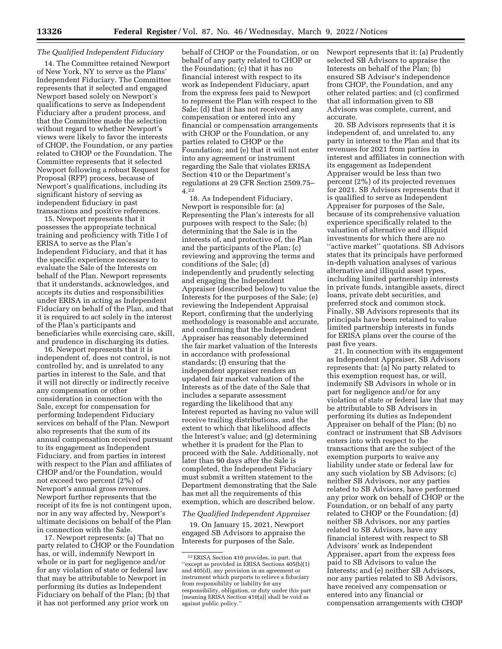# *The Qualified Independent Fiduciary*

14. The Committee retained Newport of New York, NY to serve as the Plans' Independent Fiduciary. The Committee represents that it selected and engaged Newport based solely on Newport's qualifications to serve as Independent Fiduciary after a prudent process, and that the Committee made the selection without regard to whether Newport's views were likely to favor the interests of CHOP, the Foundation, or any parties related to CHOP or the Foundation. The Committee represents that it selected Newport following a robust Request for Proposal (RFP) process, because of Newport's qualifications, including its significant history of serving as independent fiduciary in past transactions and positive references.

15. Newport represents that it possesses the appropriate technical training and proficiency with Title I of ERISA to serve as the Plan's Independent Fiduciary, and that it has the specific experience necessary to evaluate the Sale of the Interests on behalf of the Plan. Newport represents that it understands, acknowledges, and accepts its duties and responsibilities under ERISA in acting as Independent Fiduciary on behalf of the Plan, and that it is required to act solely in the interest of the Plan's participants and beneficiaries while exercising care, skill, and prudence in discharging its duties.

16. Newport represents that it is independent of, does not control, is not controlled by, and is unrelated to any parties in interest to the Sale, and that it will not directly or indirectly receive any compensation or other consideration in connection with the Sale, except for compensation for performing Independent Fiduciary services on behalf of the Plan. Newport also represents that the sum of its annual compensation received pursuant to its engagement as Independent Fiduciary, and from parties in interest with respect to the Plan and affiliates of CHOP and/or the Foundation, would not exceed two percent (2%) of Newport's annual gross revenues. Newport further represents that the receipt of its fee is not contingent upon, nor in any way affected by, Newport's ultimate decisions on behalf of the Plan in connection with the Sale.

17. Newport represents: (a) That no party related to CHOP or the Foundation has, or will, indemnify Newport in whole or in part for negligence and/or for any violation of state or federal law that may be attributable to Newport in performing its duties as Independent Fiduciary on behalf of the Plan; (b) that it has not performed any prior work on

behalf of CHOP or the Foundation, or on behalf of any party related to CHOP or the Foundation; (c) that it has no financial interest with respect to its work as Independent Fiduciary, apart from the express fees paid to Newport to represent the Plan with respect to the Sale; (d) that it has not received any compensation or entered into any financial or compensation arrangements with CHOP or the Foundation, or any parties related to CHOP or the Foundation; and (e) that it will not enter into any agreement or instrument regarding the Sale that violates ERISA Section 410 or the Department's regulations at 29 CFR Section 2509.75– 4.22

18. As Independent Fiduciary, Newport is responsible for: (a) Representing the Plan's interests for all purposes with respect to the Sale; (b) determining that the Sale is in the interests of, and protective of, the Plan and the participants of the Plan; (c) reviewing and approving the terms and conditions of the Sale; (d) independently and prudently selecting and engaging the Independent Appraiser (described below) to value the Interests for the purposes of the Sale; (e) reviewing the Independent Appraisal Report, confirming that the underlying methodology is reasonable and accurate, and confirming that the Independent Appraiser has reasonably determined the fair market valuation of the Interests in accordance with professional standards; (f) ensuring that the independent appraiser renders an updated fair market valuation of the Interests as of the date of the Sale that includes a separate assessment regarding the likelihood that any Interest reported as having no value will receive trailing distributions, and the extent to which that likelihood affects the Interest's value; and (g) determining whether it is prudent for the Plan to proceed with the Sale. Additionally, not later than 90 days after the Sale is completed, the Independent Fiduciary must submit a written statement to the Department demonstrating that the Sale has met all the requirements of this exemption, which are described below.

#### *The Qualified Independent Appraiser*

19. On January 15, 2021, Newport engaged SB Advisors to appraise the Interests for purposes of the Sale.

Newport represents that it: (a) Prudently selected SB Advisors to appraise the Interests on behalf of the Plan; (b) ensured SB Advisor's independence from CHOP, the Foundation, and any other related parties; and (c) confirmed that all information given to SB Advisors was complete, current, and accurate.

20. SB Advisors represents that it is independent of, and unrelated to, any party in interest to the Plan and that its revenues for 2021 from parties in interest and affiliates in connection with its engagement as Independent Appraiser would be less than two percent (2%) of its projected revenues for 2021. SB Advisors represents that it is qualified to serve as Independent Appraiser for purposes of the Sale, because of its comprehensive valuation experience specifically related to the valuation of alternative and illiquid investments for which there are no ''active market'' quotations. SB Advisors states that its principals have performed in-depth valuation analyses of various alternative and illiquid asset types, including limited partnership interests in private funds, intangible assets, direct loans, private debt securities, and preferred stock and common stock. Finally, SB Advisors represents that its principals have been retained to value limited partnership interests in funds for ERISA plans over the course of the past five years.

21. In connection with its engagement as Independent Appraiser, SB Advisors represents that: (a) No party related to this exemption request has, or will, indemnify SB Advisors in whole or in part for negligence and/or for any violation of state or federal law that may be attributable to SB Advisors in performing its duties as Independent Appraiser on behalf of the Plan; (b) no contract or instrument that SB Advisors enters into with respect to the transactions that are the subject of the exemption purports to waive any liability under state or federal law for any such violation by SB Advisors; (c) neither SB Advisors, nor any parties related to SB Advisors, have performed any prior work on behalf of CHOP or the Foundation, or on behalf of any party related to CHOP or the Foundation; (d) neither SB Advisors, nor any parties related to SB Advisors, have any financial interest with respect to SB Advisors' work as Independent Appraiser, apart from the express fees paid to SB Advisors to value the Interests; and (e) neither SB Advisors, nor any parties related to SB Advisors, have received any compensation or entered into any financial or compensation arrangements with CHOP

<sup>22</sup>ERISA Section 410 provides, in part, that ''except as provided in ERISA Sections 405(b)(1) and 405(d), any provision in an agreement or instrument which purports to relieve a fiduciary from responsibility or liability for any responsibility, obligation, or duty under this part [meaning ERISA Section 410(a)] shall be void as against public policy.''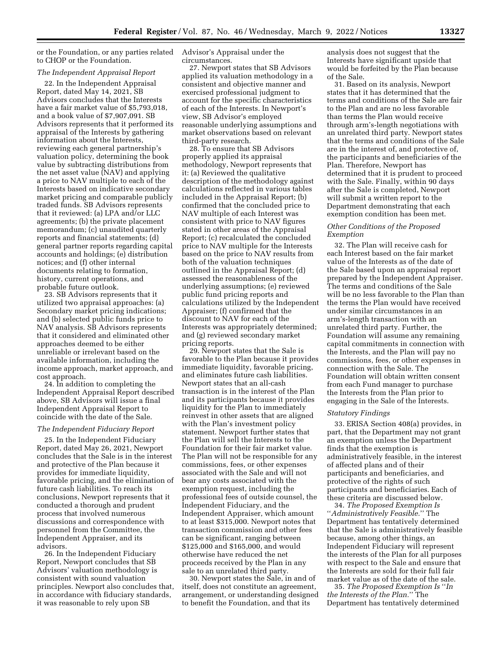or the Foundation, or any parties related to CHOP or the Foundation.

### *The Independent Appraisal Report*

22. In the Independent Appraisal Report, dated May 14, 2021, SB Advisors concludes that the Interests have a fair market value of \$5,793,018, and a book value of \$7,907,091. SB Advisors represents that it performed its appraisal of the Interests by gathering information about the Interests, reviewing each general partnership's valuation policy, determining the book value by subtracting distributions from the net asset value (NAV) and applying a price to NAV multiple to each of the Interests based on indicative secondary market pricing and comparable publicly traded funds. SB Advisors represents that it reviewed: (a) LPA and/or LLC agreements; (b) the private placement memorandum; (c) unaudited quarterly reports and financial statements; (d) general partner reports regarding capital accounts and holdings; (e) distribution notices; and (f) other internal documents relating to formation, history, current operations, and probable future outlook.

23. SB Advisors represents that it utilized two appraisal approaches: (a) Secondary market pricing indications; and (b) selected public funds price to NAV analysis. SB Advisors represents that it considered and eliminated other approaches deemed to be either unreliable or irrelevant based on the available information, including the income approach, market approach, and cost approach.

24. In addition to completing the Independent Appraisal Report described above, SB Advisors will issue a final Independent Appraisal Report to coincide with the date of the Sale.

# *The Independent Fiduciary Report*

25. In the Independent Fiduciary Report, dated May 26, 2021, Newport concludes that the Sale is in the interest and protective of the Plan because it provides for immediate liquidity, favorable pricing, and the elimination of future cash liabilities. To reach its conclusions, Newport represents that it conducted a thorough and prudent process that involved numerous discussions and correspondence with personnel from the Committee, the Independent Appraiser, and its advisors.

26. In the Independent Fiduciary Report, Newport concludes that SB Advisors' valuation methodology is consistent with sound valuation principles. Newport also concludes that, in accordance with fiduciary standards, it was reasonable to rely upon SB

Advisor's Appraisal under the circumstances.

27. Newport states that SB Advisors applied its valuation methodology in a consistent and objective manner and exercised professional judgment to account for the specific characteristics of each of the Interests. In Newport's view, SB Advisor's employed reasonable underlying assumptions and market observations based on relevant third-party research.

28. To ensure that SB Advisors properly applied its appraisal methodology, Newport represents that it: (a) Reviewed the qualitative description of the methodology against calculations reflected in various tables included in the Appraisal Report; (b) confirmed that the concluded price to NAV multiple of each Interest was consistent with price to NAV figures stated in other areas of the Appraisal Report; (c) recalculated the concluded price to NAV multiple for the Interests based on the price to NAV results from both of the valuation techniques outlined in the Appraisal Report; (d) assessed the reasonableness of the underlying assumptions; (e) reviewed public fund pricing reports and calculations utilized by the Independent Appraiser; (f) confirmed that the discount to NAV for each of the Interests was appropriately determined; and (g) reviewed secondary market pricing reports.

29. Newport states that the Sale is favorable to the Plan because it provides immediate liquidity, favorable pricing, and eliminates future cash liabilities. Newport states that an all-cash transaction is in the interest of the Plan and its participants because it provides liquidity for the Plan to immediately reinvest in other assets that are aligned with the Plan's investment policy statement. Newport further states that the Plan will sell the Interests to the Foundation for their fair market value. The Plan will not be responsible for any commissions, fees, or other expenses associated with the Sale and will not bear any costs associated with the exemption request, including the professional fees of outside counsel, the Independent Fiduciary, and the Independent Appraiser, which amount to at least \$315,000. Newport notes that transaction commission and other fees can be significant, ranging between \$125,000 and \$165,000, and would otherwise have reduced the net proceeds received by the Plan in any sale to an unrelated third party.

30. Newport states the Sale, in and of itself, does not constitute an agreement, arrangement, or understanding designed to benefit the Foundation, and that its

analysis does not suggest that the Interests have significant upside that would be forfeited by the Plan because of the Sale.

31. Based on its analysis, Newport states that it has determined that the terms and conditions of the Sale are fair to the Plan and are no less favorable than terms the Plan would receive through arm's-length negotiations with an unrelated third party. Newport states that the terms and conditions of the Sale are in the interest of, and protective of, the participants and beneficiaries of the Plan. Therefore, Newport has determined that it is prudent to proceed with the Sale. Finally, within 90 days after the Sale is completed, Newport will submit a written report to the Department demonstrating that each exemption condition has been met.

# *Other Conditions of the Proposed Exemption*

32. The Plan will receive cash for each Interest based on the fair market value of the Interests as of the date of the Sale based upon an appraisal report prepared by the Independent Appraiser. The terms and conditions of the Sale will be no less favorable to the Plan than the terms the Plan would have received under similar circumstances in an arm's-length transaction with an unrelated third party. Further, the Foundation will assume any remaining capital commitments in connection with the Interests, and the Plan will pay no commissions, fees, or other expenses in connection with the Sale. The Foundation will obtain written consent from each Fund manager to purchase the Interests from the Plan prior to engaging in the Sale of the Interests.

### *Statutory Findings*

33. ERISA Section 408(a) provides, in part, that the Department may not grant an exemption unless the Department finds that the exemption is administratively feasible, in the interest of affected plans and of their participants and beneficiaries, and protective of the rights of such participants and beneficiaries. Each of these criteria are discussed below.

34. *The Proposed Exemption Is*  ''*Administratively Feasible.*'' The Department has tentatively determined that the Sale is administratively feasible because, among other things, an Independent Fiduciary will represent the interests of the Plan for all purposes with respect to the Sale and ensure that the Interests are sold for their full fair market value as of the date of the sale.

35. *The Proposed Exemption Is* ''*In the Interests of the Plan.*'' The Department has tentatively determined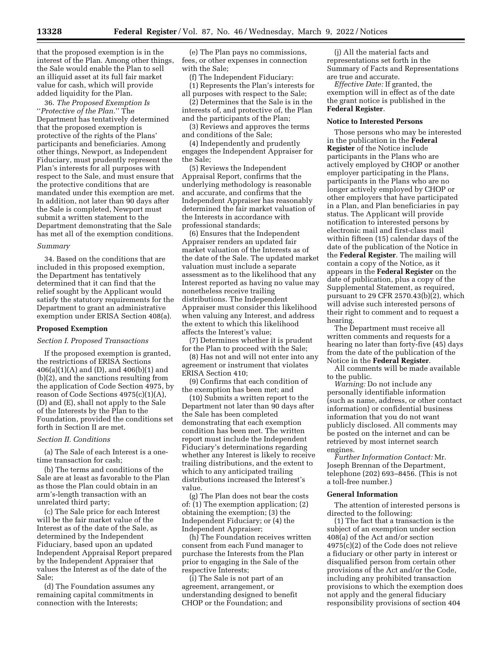that the proposed exemption is in the interest of the Plan. Among other things, the Sale would enable the Plan to sell an illiquid asset at its full fair market value for cash, which will provide added liquidity for the Plan.

36. *The Proposed Exemption Is*  ''*Protective of the Plan.*'' The Department has tentatively determined that the proposed exemption is protective of the rights of the Plans' participants and beneficiaries. Among other things, Newport, as Independent Fiduciary, must prudently represent the Plan's interests for all purposes with respect to the Sale, and must ensure that the protective conditions that are mandated under this exemption are met. In addition, not later than 90 days after the Sale is completed, Newport must submit a written statement to the Department demonstrating that the Sale has met all of the exemption conditions.

## *Summary*

34. Based on the conditions that are included in this proposed exemption, the Department has tentatively determined that it can find that the relief sought by the Applicant would satisfy the statutory requirements for the Department to grant an administrative exemption under ERISA Section 408(a).

### **Proposed Exemption**

### *Section I. Proposed Transactions*

If the proposed exemption is granted, the restrictions of ERISA Sections 406(a)(1)(A) and (D), and 406(b)(1) and (b)(2), and the sanctions resulting from the application of Code Section 4975, by reason of Code Sections 4975(c)(1)(A), (D) and (E), shall not apply to the Sale of the Interests by the Plan to the Foundation, provided the conditions set forth in Section II are met.

### *Section II. Conditions*

(a) The Sale of each Interest is a onetime transaction for cash;

(b) The terms and conditions of the Sale are at least as favorable to the Plan as those the Plan could obtain in an arm's-length transaction with an unrelated third party;

(c) The Sale price for each Interest will be the fair market value of the Interest as of the date of the Sale, as determined by the Independent Fiduciary, based upon an updated Independent Appraisal Report prepared by the Independent Appraiser that values the Interest as of the date of the Sale;

(d) The Foundation assumes any remaining capital commitments in connection with the Interests;

(e) The Plan pays no commissions, fees, or other expenses in connection with the Sale;

(f) The Independent Fiduciary:

(1) Represents the Plan's interests for all purposes with respect to the Sale;

(2) Determines that the Sale is in the interests of, and protective of, the Plan and the participants of the Plan;

(3) Reviews and approves the terms and conditions of the Sale;

(4) Independently and prudently engages the Independent Appraiser for the Sale;

(5) Reviews the Independent Appraisal Report, confirms that the underlying methodology is reasonable and accurate, and confirms that the Independent Appraiser has reasonably determined the fair market valuation of the Interests in accordance with professional standards;

(6) Ensures that the Independent Appraiser renders an updated fair market valuation of the Interests as of the date of the Sale. The updated market valuation must include a separate assessment as to the likelihood that any Interest reported as having no value may nonetheless receive trailing distributions. The Independent Appraiser must consider this likelihood when valuing any Interest, and address the extent to which this likelihood affects the Interest's value;

(7) Determines whether it is prudent for the Plan to proceed with the Sale;

(8) Has not and will not enter into any agreement or instrument that violates ERISA Section 410;

(9) Confirms that each condition of the exemption has been met; and

(10) Submits a written report to the Department not later than 90 days after the Sale has been completed demonstrating that each exemption condition has been met. The written report must include the Independent Fiduciary's determinations regarding whether any Interest is likely to receive trailing distributions, and the extent to which to any anticipated trailing distributions increased the Interest's value.

(g) The Plan does not bear the costs of: (1) The exemption application; (2) obtaining the exemption; (3) the Independent Fiduciary; or (4) the Independent Appraiser;

(h) The Foundation receives written consent from each Fund manager to purchase the Interests from the Plan prior to engaging in the Sale of the respective Interests;

(i) The Sale is not part of an agreement, arrangement, or understanding designed to benefit CHOP or the Foundation; and

(j) All the material facts and representations set forth in the Summary of Facts and Representations are true and accurate.

*Effective Date:* If granted, the exemption will in effect as of the date the grant notice is published in the **Federal Register**.

#### **Notice to Interested Persons**

Those persons who may be interested in the publication in the **Federal Register** of the Notice include participants in the Plans who are actively employed by CHOP or another employer participating in the Plans, participants in the Plans who are no longer actively employed by CHOP or other employers that have participated in a Plan, and Plan beneficiaries in pay status. The Applicant will provide notification to interested persons by electronic mail and first-class mail within fifteen (15) calendar days of the date of the publication of the Notice in the **Federal Register**. The mailing will contain a copy of the Notice, as it appears in the **Federal Register** on the date of publication, plus a copy of the Supplemental Statement, as required, pursuant to 29 CFR 2570.43(b)(2), which will advise such interested persons of their right to comment and to request a hearing.

The Department must receive all written comments and requests for a hearing no later than forty-five (45) days from the date of the publication of the Notice in the **Federal Register**.

All comments will be made available to the public.

*Warning:* Do not include any personally identifiable information (such as name, address, or other contact information) or confidential business information that you do not want publicly disclosed. All comments may be posted on the internet and can be retrieved by most internet search engines.

*Further Information Contact:* Mr. Joseph Brennan of the Department, telephone (202) 693–8456. (This is not a toll-free number.)

### **General Information**

The attention of interested persons is directed to the following:

(1) The fact that a transaction is the subject of an exemption under section 408(a) of the Act and/or section 4975(c)(2) of the Code does not relieve a fiduciary or other party in interest or disqualified person from certain other provisions of the Act and/or the Code, including any prohibited transaction provisions to which the exemption does not apply and the general fiduciary responsibility provisions of section 404